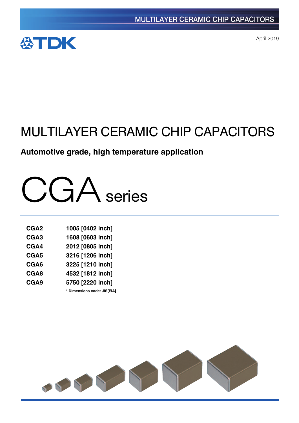

April 2019

# MULTILAYER CERAMIC CHIP CAPACITORS

# **Automotive grade, high temperature application**



| CGA <sub>2</sub> | 1005 [0402 inch]            |
|------------------|-----------------------------|
| CGA <sub>3</sub> | 1608 [0603 inch]            |
| CGA4             | 2012 [0805 inch]            |
| CGA <sub>5</sub> | 3216 [1206 inch]            |
| CGA6             | 3225 [1210 inch]            |
| CGA8             | 4532 [1812 inch]            |
| CGA9             | 5750 [2220 inch]            |
|                  | * Dimensions code: JIS[EIA] |

SSYS Y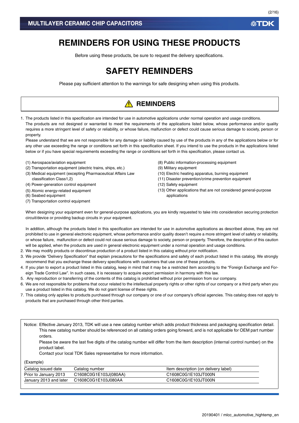# **REMINDERS FOR USING THESE PRODUCTS**

Before using these products, be sure to request the delivery specifications.

# **SAFETY REMINDERS**

Please pay sufficient attention to the warnings for safe designing when using this products.

# **A** REMINDERS

1. The products listed in this specification are intended for use in automotive applications under normal operation and usage conditions. The products are not designed or warranted to meet the requirements of the applications listed below, whose performance and/or quality requires a more stringent level of safety or reliability, or whose failure, malfunction or defect could cause serious damage to society, person or property.

Please understand that we are not responsible for any damage or liability caused by use of the products in any of the applications below or for any other use exceeding the range or conditions set forth in this specification sheet. If you intend to use the products in the applications listed below or if you have special requirements exceeding the range or conditions set forth in this specification, please contact us.

- (1) Aerospace/aviation equipment
- (2) Transportation equipment (electric trains, ships, etc.)
- (3) Medical equipment (excepting Pharmaceutical Affairs Law classification Class1,2)
- (4) Power-generation control equipment
- (5) Atomic energy-related equipment
- (6) Seabed equipment
- (7) Transportation control equipment
- (8) Public information-processing equipment
- (9) Military equipment
- (10) Electric heating apparatus, burning equipment
- (11) Disaster prevention/crime prevention equipment
- (12) Safety equipment
- (13) Other applications that are not considered general-purpose applications

When designing your equipment even for general-purpose applications, you are kindly requested to take into consideration securing protection circuit/device or providing backup circuits in your equipment.

In addition, although the products listed in this specification are intended for use in automotive applications as described above, they are not prohibited to use in general electronic equipment, whose performance and/or quality doesn't require a more stringent level of safety or reliability, or whose failure, malfunction or defect could not cause serious damage to society, person or property. Therefore, the description of this caution will be applied, when the products are used in general electronic equipment under a normal operation and usage conditions.

- 2. We may modify products or discontinue production of a product listed in this catalog without prior notification.
- 3. We provide "Delivery Specification" that explain precautions for the specifications and safety of each product listed in this catalog. We strongly recommend that you exchange these delivery specifications with customers that use one of these products.
- 4. If you plan to export a product listed in this catalog, keep in mind that it may be a restricted item according to the "Foreign Exchange and Foreign Trade Control Law". In such cases, it is necessary to acquire export permission in harmony with this law.
- 5. Any reproduction or transferring of the contents of this catalog is prohibited without prior permission from our company.
- 6. We are not responsible for problems that occur related to the intellectual property rights or other rights of our company or a third party when you use a product listed in this catalog. We do not grant license of these rights.
- 7. This catalog only applies to products purchased through our company or one of our company's official agencies. This catalog does not apply to products that are purchased through other third parties.

Notice: Effective January 2013, TDK will use a new catalog number which adds product thickness and packaging specification detail. This new catalog number should be referenced on all catalog orders going forward, and is not applicable for OEM part number orders.

Please be aware the last five digits of the catalog number will differ from the item description (internal control number) on the product label.

Contact your local TDK Sales representative for more information.

(Example)

| Catalog issued date    | Catalog number        | Item description (on delivery label) |
|------------------------|-----------------------|--------------------------------------|
| Prior to January 2013  | C1608C0G1E103J(080AA) | C1608C0G1E103JT000N                  |
| January 2013 and later | C1608C0G1E103J080AA   | C1608C0G1E103JT000N                  |

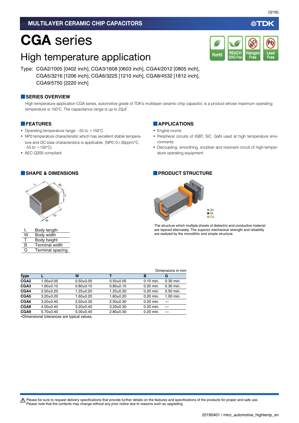# CGA series

# High temperature application

Type: CGA2/1005 [0402 inch], CGA3/1608 [0603 inch], CGA4/2012 [0805 inch], CGA5/3216 [1206 inch], CGA6/3225 [1210 inch], CGA8/4532 [1812 inch], CGA9/5750 [2220 inch]

#### **■SERIES OVERVIEW**

High temperature application CGA series, automotive grade of TDK's multilayer ceramic chip capacitor, is a product whose maximum operating temperature is 150°C. The capacitance range is up to 22µF.

#### **■FEATURES**

- Operating temperature range: –55 to +150°C.
- NP0 temperature characteristic which has excellent stable temperature and DC-bias characteristcs is applicable. (NP0:0±30ppm/°C,  $-55$  to  $+150$ °C)
- AEC-Q200 compliant.



|    | Body length           |
|----|-----------------------|
| W  | Body width            |
| л. | Body height           |
| R  | <b>Terminal width</b> |
| G  | Terminal spacing      |
|    |                       |

#### **■APPLICATIONS**

- Engine rooms
- Peripheral circuits of IGBT, SiC, GaN used at high temperature environments

**REACH SVHC-Free**

RoHS SVHC-Free Free Free

**Halogen Free**

**Br Cl**

• Decoupling, smoothing, snubber and resonant circuit of high-temperature operating equipment.

#### **■SHAPE & DIMENSIONS ■PRODUCT STRUCTURE**



The structure which multiple sheets of dielectric and conductive material are layered alternately. The superior mechanical strength and reliability are realized by the monolithic and simple structure.

|                                               |                 |                 |                 |             | Dimensions in mm         |  |
|-----------------------------------------------|-----------------|-----------------|-----------------|-------------|--------------------------|--|
| Type                                          |                 | W               |                 | в           | G                        |  |
| CGA2                                          | $1.00 + 0.05$   | $0.50 + 0.05$   | $0.50+0.05$     | $0.10$ min. | $0.30$ min.              |  |
| CGA3                                          | 1.60±0.10       | $0.80 + 0.10$   | $0.80 + 0.10$   | 0.20 min.   | 0.30 min.                |  |
| CGA4                                          | $2.00+0.20$     | $1.25 \pm 0.20$ | $1.25 \pm 0.20$ | $0.20$ min. | 0.50 min.                |  |
| CGA5                                          | $3.20 \pm 0.20$ | $1.60 + 0.20$   | $1.60 + 0.20$   | 0.20 min.   | 1.00 min.                |  |
| CGA6                                          | $3.20 \pm 0.40$ | $2.50+0.30$     | $2.50+0.30$     | $0.20$ min. |                          |  |
| CGA8                                          | $4.50 \pm 0.40$ | $3.20 \pm 0.40$ | $3.20 \pm 0.30$ | $0.20$ min. | $\overline{\phantom{0}}$ |  |
| CGA9                                          | $5.70 \pm 0.40$ | $5.00+0.40$     | $2.80+0.30$     | 0.20 min.   |                          |  |
| . Disaanatanal talangangan gun tunigal yalyan |                 |                 |                 |             |                          |  |

Dimensional tolerances are typical values.

A Please be sure to request delivery specifications that provide further details on the features and specifications of the products for proper and safe use. Please note that the contents may change without any prior notice due to reasons such as upgrading.

**Lead**

**Pb**

必TDK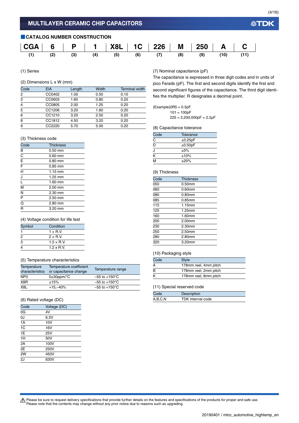#### **■CATALOG NUMBER CONSTRUCTION**



(1) Series

#### (2) Dimensions L x W (mm)

| Code | <b>EIA</b> | Length | Width | <b>Terminal width</b> |
|------|------------|--------|-------|-----------------------|
| 2    | CC0402     | 1.00   | 0.50  | 0.10                  |
| 3    | CC0603     | 1.60   | 0.80  | 0.20                  |
| 4    | CC0805     | 2.00   | 1.25  | 0.20                  |
| 5    | CC1206     | 3.20   | 1.60  | 0.20                  |
| 6    | CC1210     | 3.20   | 2.50  | 0.20                  |
| 8    | CC1812     | 4.50   | 3.20  | 0.20                  |
| 9    | CC2220     | 5.70   | 5.00  | 0.20                  |

#### (7) Nominal capacitance (pF)

The capacitance is expressed in three digit codes and in units of pico Farads (pF). The first and second digits identify the first and second significant figures of the capacitance. The third digit identifies the multiplier. R designates a decimal point.

 $101 = 100pF$  $225 = 2,200,000pF = 2.2\mu F$ 

(8) Capacitance tolerance

| Code                      | Tolerance  |
|---------------------------|------------|
| $\overline{\text{c}}$     | ±0.25pF    |
| $\overline{\overline{D}}$ | ±0.50pF    |
| ۱.                        | ±5%        |
| $\overline{\mathsf{k}}$   | ±10%       |
| $\overline{\mathsf{M}}$   | $\pm 20\%$ |

#### (9) Thickness

| $\overline{\text{Code}}$ | <b>Thickness</b> |
|--------------------------|------------------|
| 050                      | 0.50mm           |
| 060                      | 0.60mm           |
| 080                      | $0.80$ mm        |
| 085                      | 0.85mm           |
| 115                      | 1.15mm           |
| 125                      | 1.25mm           |
| 160                      | 1.60mm           |
| 200                      | 2.00mm           |
| 230                      | 2.30mm           |
| 250                      | 2.50mm           |
| 280                      | 2.80mm           |
| 320                      | 3.20mm           |
|                          |                  |

#### (10) Packaging style

| Code | <b>Style</b>          |
|------|-----------------------|
| A    | 178mm reel, 4mm pitch |
| B    | 178mm reel, 2mm pitch |
| K    | 178mm reel, 8mm pitch |

#### (11) Special reserved code

| Code    | Description       |
|---------|-------------------|
| A,B,C,N | TDK internal code |

| (3) Thickness code      |                   |  |
|-------------------------|-------------------|--|
| Code                    | <b>Thickness</b>  |  |
| B                       | $0.50$ mm         |  |
| $\overline{\text{c}}$   | $0.60$ mm         |  |
| E                       | $0.80$ mm         |  |
| F                       | $0.85$ mm         |  |
| $\overline{\mathsf{H}}$ | $1.15 \text{ mm}$ |  |
| J                       | $1.25$ mm         |  |
| Ĺ                       | 1.60 mm           |  |
| M                       | 2.00 mm           |  |
| N                       | 2.30 mm           |  |
| $\overline{P}$          | 2.50 mm           |  |
| $\overline{\mathsf{Q}}$ | 2.80 mm           |  |
| R                       | $3.20$ mm         |  |

#### (4) Voltage condition for life test

| Symbol | Condition          |  |
|--------|--------------------|--|
|        | $1 \times R$ V.    |  |
| 2      | $2 \times R V$     |  |
| 3      | $1.5 \times R$ .V. |  |
| 4      | $1.2 \times$ R.V.  |  |

#### (5) Temperature characteristics

| Temperature<br>characteristics | Temperature coefficient<br>or capacitance change | Temperature range         |
|--------------------------------|--------------------------------------------------|---------------------------|
| NP <sub>0</sub>                | $0\pm 30$ ppm/ $\degree$ C                       | $-55$ to $+150^{\circ}$ C |
| X8R                            | ±15%                                             | $-55$ to $+150^{\circ}$ C |
| X <sub>8</sub> L               | $+15,-40%$                                       | $-55$ to $+150^{\circ}$ C |

#### (6) Rated voltage (DC)

| Code           | Voltage (DC) |
|----------------|--------------|
| 0G             | 4V           |
| OJ             | 6.3V         |
| 1A             | 10V          |
| 1 <sup>C</sup> | 16V          |
| 1E             | 25V          |
| 1H             | 50V          |
| 2A             | 100V         |
| 2E             | 250V         |
| 2W             | 450V         |
| 2J             | 630V         |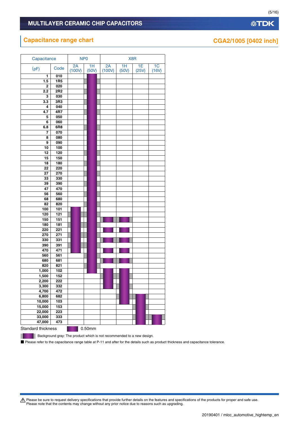# **Capacitance range chart CGA2/1005 [0402 inch]**

| Capacitance        |                  | NP <sub>0</sub> |             |              | X8R         |             |                         |
|--------------------|------------------|-----------------|-------------|--------------|-------------|-------------|-------------------------|
| (pF)               | Code             | 2A<br>(100V)    | 1H<br>(50V) | 2A<br>(100V) | 1H<br>(50V) | 1E<br>(25V) | 1 <sub>C</sub><br>(16V) |
| 1                  | 010              |                 |             |              |             |             |                         |
| 1.5                | <b>1R5</b>       |                 |             |              |             |             |                         |
| 2                  | 020              |                 |             |              |             |             |                         |
| 2.2                | 2R <sub>2</sub>  |                 |             |              |             |             |                         |
| 3                  | 030              |                 |             |              |             |             |                         |
| 3.3                | 3R3              |                 |             |              |             |             |                         |
| 4                  | 040              |                 |             |              |             |             |                         |
| 4.7                | 4R7              |                 |             |              |             |             |                         |
| 5                  | 050              |                 |             |              |             |             |                         |
| 6                  | 060              |                 |             |              |             |             |                         |
| 6.8                | 6R8              |                 |             |              |             |             |                         |
| 7                  | 070              |                 |             |              |             |             |                         |
| 8                  | 080              |                 |             |              |             |             |                         |
| 9                  | 090              |                 |             |              |             |             |                         |
| 10                 | 100              |                 |             |              |             |             |                         |
| 12                 | 120              |                 |             |              |             |             |                         |
| 15                 | 150              |                 |             |              |             |             |                         |
| 18                 | 180              |                 |             |              |             |             |                         |
| 22                 | 220              |                 |             |              |             |             |                         |
| 27                 | 270              |                 |             |              |             |             |                         |
| 33                 | 330              |                 |             |              |             |             |                         |
| 39                 | 390              |                 |             |              |             |             |                         |
| 47                 | 470              |                 |             |              |             |             |                         |
| 56                 | 560              |                 |             |              |             |             |                         |
| 68<br>82           | 680              |                 |             |              |             |             |                         |
| 100                | 820<br>101       |                 |             |              |             |             |                         |
| 120                | 121              |                 |             |              |             |             |                         |
| 150                | 151              |                 |             |              |             |             |                         |
| 180                | 181              |                 |             |              |             |             |                         |
| 220                | 221              |                 |             |              |             |             |                         |
| 270                | $\overline{271}$ |                 |             |              |             |             |                         |
| 330                | 331              |                 |             |              |             |             |                         |
| 390                | 391              |                 |             |              |             |             |                         |
| 470                | 471              |                 |             |              |             |             |                         |
| 560                | 561              |                 |             |              |             |             |                         |
| 680                | 681              |                 |             |              |             |             |                         |
| 820                | 821              |                 |             |              |             |             |                         |
| 1,000              | 102              |                 |             |              |             |             |                         |
| 1,500              | 152              |                 |             |              |             |             |                         |
| 2,200              | 222              |                 |             |              |             |             |                         |
| 3,300              | 332              |                 |             |              |             |             |                         |
| 4,700              | 472              |                 |             |              |             |             |                         |
| 6,800              | 682              |                 |             |              |             |             |                         |
| 10,000             | 103              |                 |             |              |             |             |                         |
| 15,000             | 153              |                 |             |              |             |             |                         |
| 22,000             | 223              |                 |             |              |             |             |                         |
| 33,000             | 333              |                 |             |              |             |             |                         |
| 47,000             | 473              |                 |             |              |             |             |                         |
| Standard thickness |                  |                 | 0.50mm      |              |             |             |                         |

**Background gray: The product which is not recommended to a new design.** 

٠

■ Please refer to the capacitance range table at P-11 and after for the details such as product thickness and capacitance tolerance.

Please be sure to request delivery specifications that provide further details on the features and specifications of the products for proper and safe use.<br>Please note that the contents may change without any prior notice d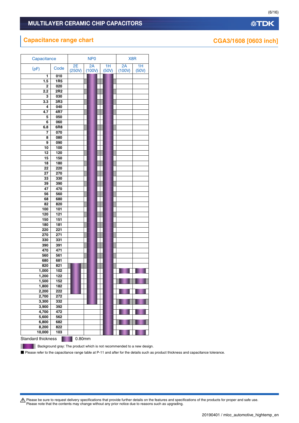| Capacitance        |                  |              | NP <sub>0</sub> |             | X8R          |             |
|--------------------|------------------|--------------|-----------------|-------------|--------------|-------------|
| (pF)               | Code             | 2E<br>(250V) | 2A<br>(100V)    | 1H<br>(50V) | 2A<br>(100V) | 1H<br>(50V) |
| 1                  | 010              |              |                 |             |              |             |
| 1.5                | <b>1R5</b>       |              |                 |             |              |             |
| 2                  | 020              |              |                 |             |              |             |
| 2.2                | 2R <sub>2</sub>  |              |                 |             |              |             |
|                    | 030              |              |                 |             |              |             |
| 3                  |                  |              |                 |             |              |             |
| 3.3                | 3R3              |              |                 |             |              |             |
| 4                  | 040              |              |                 |             |              |             |
| 4.7                | 4R7              |              |                 |             |              |             |
| 5                  | 050              |              |                 |             |              |             |
| 6                  | 060              |              |                 |             |              |             |
| 6.8                | 6R8              |              |                 |             |              |             |
| 7                  | 070              |              |                 |             |              |             |
| 8                  | 080              |              |                 |             |              |             |
| 9                  | 090              |              |                 |             |              |             |
| 10                 | 100              |              |                 |             |              |             |
| 12                 | 120              |              |                 |             |              |             |
| 15                 | 150              |              |                 |             |              |             |
| 18                 | 180              |              |                 |             |              |             |
| 22                 | 220              |              |                 |             |              |             |
| 27                 | 270              |              |                 |             |              |             |
| 33                 | 330              |              |                 |             |              |             |
|                    |                  |              |                 |             |              |             |
| 39                 | 390              |              |                 |             |              |             |
| 47                 | 470              |              |                 |             |              |             |
| 56                 | 560              |              |                 |             |              |             |
| 68                 | 680              |              |                 |             |              |             |
| 82                 | 820              |              |                 |             |              |             |
| 100                | 101              |              |                 |             |              |             |
| 120                | 121              |              |                 |             |              |             |
| 150                | 151              |              |                 |             |              |             |
| 180                | 181              |              |                 |             |              |             |
| 220                | 221              |              |                 |             |              |             |
| 270                | $\overline{271}$ |              |                 |             |              |             |
| 330                | 331              |              |                 |             |              |             |
| 390                | 391              |              |                 |             |              |             |
| 470                | 471              |              |                 |             |              |             |
| 560                | 561              |              |                 |             |              |             |
| 680                | 681              |              |                 |             |              |             |
| 820                | 821              |              |                 |             |              |             |
| 1,000              | 102              |              |                 |             |              |             |
| 1,200              | 122              |              |                 |             |              |             |
| 1,500              | 152              |              |                 |             |              |             |
| 1,800              | 182              |              |                 |             |              |             |
| 2,200              | 222              |              |                 |             |              |             |
| 2,700              | 272              |              |                 |             |              |             |
| 3,300              | 332              |              |                 |             |              |             |
|                    | 392              |              |                 |             |              |             |
| 3,900              |                  |              |                 |             |              |             |
| 4,700              | 472              |              |                 |             |              |             |
| 5,600              | 562              |              |                 |             |              |             |
| 6,800              | 682              |              |                 |             |              |             |
| 8,200              | 822              |              |                 |             |              |             |
| 10,000             | 103              |              |                 |             |              |             |
| Standard thickness |                  | 0.80mm       |                 |             |              |             |

П

Background gray: The product which is not recommended to a new design.

■ Please refer to the capacitance range table at P-11 and after for the details such as product thickness and capacitance tolerance.

Please be sure to request delivery specifications that provide further details on the features and specifications of the products for proper and safe use.<br>Please note that the contents may change without any prior notice d

(6/16)

# **Capacitance range chart CGA3/1608** [0603 inch]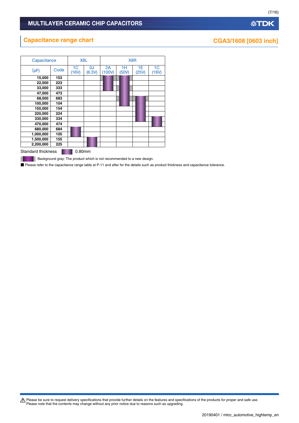# **Capacitance range chart CGA3/1608** [0603 inch]

ш

| Capacitance               |      |                         | X8L          | X8R          |             |             |                         |  |  |
|---------------------------|------|-------------------------|--------------|--------------|-------------|-------------|-------------------------|--|--|
| (pF)                      | Code | 1 <sup>C</sup><br>(16V) | 0J<br>(6.3V) | 2A<br>(100V) | 1Н<br>(50V) | 1Е<br>(25V) | 1 <sub>C</sub><br>(16V) |  |  |
| 15,000                    | 153  |                         |              |              |             |             |                         |  |  |
| 22,000                    | 223  |                         |              |              |             |             |                         |  |  |
| 33,000                    | 333  |                         |              |              |             |             |                         |  |  |
| 47,000                    | 473  |                         |              |              |             |             |                         |  |  |
| 68,000                    | 683  |                         |              |              |             |             |                         |  |  |
| 100,000                   | 104  |                         |              |              |             |             |                         |  |  |
| 150,000                   | 154  |                         |              |              |             |             |                         |  |  |
| 220,000                   | 224  |                         |              |              |             |             |                         |  |  |
| 330,000                   | 334  |                         |              |              |             |             |                         |  |  |
| 470,000                   | 474  |                         |              |              |             |             |                         |  |  |
| 680,000                   | 684  |                         |              |              |             |             |                         |  |  |
| 1,000,000                 | 105  |                         |              |              |             |             |                         |  |  |
| 1,500,000                 | 155  |                         |              |              |             |             |                         |  |  |
| 2,200,000                 | 225  |                         |              |              |             |             |                         |  |  |
| <b>Standard thickness</b> |      | 0.80mm                  |              |              |             |             |                         |  |  |

**Background gray: The product which is not recommended to a new design.** 

■ Please refer to the capacitance range table at P-11 and after for the details such as product thickness and capacitance tolerance.

Please be sure to request delivery specifications that provide further details on the features and specifications of the products for proper and safe use.<br>Please note that the contents may change without any prior notice d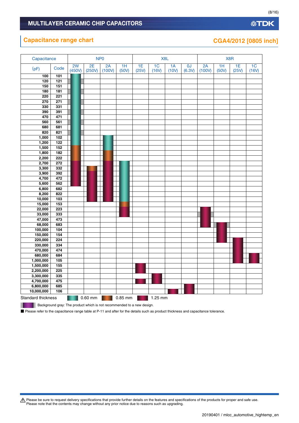# **Capacitance range chart CGA4/2012** [0805 inch]

|  | A Please be sure to request delivery specifications that provide further details on the features and specifications of the products for proper and safe use.<br>Please note that the contents may change without any prior notice due to reasons such as upgrading. |
|--|---------------------------------------------------------------------------------------------------------------------------------------------------------------------------------------------------------------------------------------------------------------------|
|--|---------------------------------------------------------------------------------------------------------------------------------------------------------------------------------------------------------------------------------------------------------------------|

| Capacitance    |            |              |              | NP <sub>0</sub> |             |             | X <sub>8</sub> L        |             |              |              | X8R         |             |                         |  |
|----------------|------------|--------------|--------------|-----------------|-------------|-------------|-------------------------|-------------|--------------|--------------|-------------|-------------|-------------------------|--|
| (pF)           | Code       | 2W<br>(450V) | 2E<br>(250V) | 2A<br>(100V)    | 1H<br>(50V) | 1E<br>(25V) | 1 <sub>C</sub><br>(16V) | 1A<br>(10V) | OJ<br>(6.3V) | 2A<br>(100V) | 1H<br>(50V) | 1E<br>(25V) | 1 <sup>C</sup><br>(16V) |  |
| 100            | 101        |              |              |                 |             |             |                         |             |              |              |             |             |                         |  |
| 120            | 121        |              |              |                 |             |             |                         |             |              |              |             |             |                         |  |
| 150            | 151        |              |              |                 |             |             |                         |             |              |              |             |             |                         |  |
| 180            | 181        |              |              |                 |             |             |                         |             |              |              |             |             |                         |  |
| 220            | 221        |              |              |                 |             |             |                         |             |              |              |             |             |                         |  |
| 270            | 271        |              |              |                 |             |             |                         |             |              |              |             |             |                         |  |
| 330            | 331        |              |              |                 |             |             |                         |             |              |              |             |             |                         |  |
| 390            | 391        |              |              |                 |             |             |                         |             |              |              |             |             |                         |  |
| 470            | 471        |              |              |                 |             |             |                         |             |              |              |             |             |                         |  |
| 560            | 561        |              |              |                 |             |             |                         |             |              |              |             |             |                         |  |
| 680            | 681        |              |              |                 |             |             |                         |             |              |              |             |             |                         |  |
| 820            | 821        |              |              |                 |             |             |                         |             |              |              |             |             |                         |  |
| 1,000          | 102        |              |              |                 |             |             |                         |             |              |              |             |             |                         |  |
| 1,200          | 122        |              |              |                 |             |             |                         |             |              |              |             |             |                         |  |
| 1,500          | 152        |              |              |                 |             |             |                         |             |              |              |             |             |                         |  |
| 1,800          | 182        |              |              |                 |             |             |                         |             |              |              |             |             |                         |  |
| 2,200          | 222        |              |              |                 |             |             |                         |             |              |              |             |             |                         |  |
| 2,700          | 272        |              |              |                 |             |             |                         |             |              |              |             |             |                         |  |
| 3,300          | 332        |              |              |                 |             |             |                         |             |              |              |             |             |                         |  |
| 3,900          | 392        |              |              |                 |             |             |                         |             |              |              |             |             |                         |  |
| 4,700<br>5,600 | 472<br>562 |              |              |                 |             |             |                         |             |              |              |             |             |                         |  |
| 6,800          | 682        |              |              |                 |             |             |                         |             |              |              |             |             |                         |  |
| 8,200          | 822        |              |              |                 |             |             |                         |             |              |              |             |             |                         |  |
| 10,000         | 103        |              |              |                 |             |             |                         |             |              |              |             |             |                         |  |
| 15,000         | 153        |              |              |                 |             |             |                         |             |              |              |             |             |                         |  |
| 22,000         | 223        |              |              |                 |             |             |                         |             |              |              |             |             |                         |  |
| 33,000         | 333        |              |              |                 |             |             |                         |             |              |              |             |             |                         |  |
| 47,000         | 473        |              |              |                 |             |             |                         |             |              |              |             |             |                         |  |
| 68,000         | 683        |              |              |                 |             |             |                         |             |              |              |             |             |                         |  |
| 100,000        | 104        |              |              |                 |             |             |                         |             |              |              |             |             |                         |  |
| 150,000        | 154        |              |              |                 |             |             |                         |             |              |              |             |             |                         |  |
| 220,000        | 224        |              |              |                 |             |             |                         |             |              |              |             |             |                         |  |
| 330,000        | 334        |              |              |                 |             |             |                         |             |              |              |             |             |                         |  |
| 470,000        | 474        |              |              |                 |             |             |                         |             |              |              |             |             |                         |  |
| 680,000        | 684        |              |              |                 |             |             |                         |             |              |              |             |             |                         |  |
| 1,000,000      | 105        |              |              |                 |             |             |                         |             |              |              |             |             |                         |  |
| 1,500,000      | 155        |              |              |                 |             |             |                         |             |              |              |             |             |                         |  |
| 2,200,000      | 225        |              |              |                 |             |             |                         |             |              |              |             |             |                         |  |
| 3,300,000      | 335        |              |              |                 |             |             |                         |             |              |              |             |             |                         |  |
| 4,700,000      | 475        |              |              |                 |             |             |                         |             |              |              |             |             |                         |  |
| 6,800,000      | 685        |              |              |                 |             |             |                         |             |              |              |             |             |                         |  |
| 10,000,000     | 106        |              |              |                 |             |             |                         |             |              |              |             |             |                         |  |

**Background gray: The product which is not recommended to a new design.** 

П

■ Please refer to the capacitance range table at P-11 and after for the details such as product thickness and capacitance tolerance.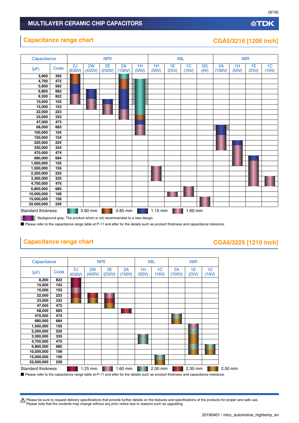### **Capacitance range chart CGA5/3216 [1206 inch]**

| Capacitance               |      |              |              | N <sub>P</sub> <sub>0</sub> |              |             |             | X8L         |                         |            |              | X <sub>8</sub> R |             |                         |
|---------------------------|------|--------------|--------------|-----------------------------|--------------|-------------|-------------|-------------|-------------------------|------------|--------------|------------------|-------------|-------------------------|
| (pF)                      | Code | 2J<br>(630V) | 2W<br>(450V) | 2E<br>(250V)                | 2A<br>(100V) | 1H<br>(50V) | 1H<br>(50V) | 1E<br>(25V) | 1 <sub>C</sub><br>(16V) | 0G<br>(4V) | 2A<br>(100V) | 1H<br>(50V)      | 1E<br>(25V) | 1 <sub>C</sub><br>(16V) |
| 3,900                     | 392  |              |              |                             |              |             |             |             |                         |            |              |                  |             |                         |
| 4,700                     | 472  |              |              |                             |              |             |             |             |                         |            |              |                  |             |                         |
| 5,600                     | 562  |              |              |                             |              |             |             |             |                         |            |              |                  |             |                         |
| 6,800                     | 682  |              |              |                             |              |             |             |             |                         |            |              |                  |             |                         |
| 8,200                     | 822  |              |              |                             |              |             |             |             |                         |            |              |                  |             |                         |
| 10,000                    | 103  |              |              |                             |              |             |             |             |                         |            |              |                  |             |                         |
| 15,000                    | 153  |              |              |                             |              |             |             |             |                         |            |              |                  |             |                         |
| 22,000                    | 223  |              |              |                             |              |             |             |             |                         |            |              |                  |             |                         |
| 33,000                    | 333  |              |              |                             |              |             |             |             |                         |            |              |                  |             |                         |
| 47,000                    | 473  |              |              |                             |              |             |             |             |                         |            |              |                  |             |                         |
| 68,000                    | 683  |              |              |                             |              |             |             |             |                         |            |              |                  |             |                         |
| 100,000                   | 104  |              |              |                             |              |             |             |             |                         |            |              |                  |             |                         |
| 150,000                   | 154  |              |              |                             |              |             |             |             |                         |            |              |                  |             |                         |
| 220,000                   | 224  |              |              |                             |              |             |             |             |                         |            |              |                  |             |                         |
| 330,000                   | 334  |              |              |                             |              |             |             |             |                         |            |              |                  |             |                         |
| 470,000                   | 474  |              |              |                             |              |             |             |             |                         |            |              |                  |             |                         |
| 680,000                   | 684  |              |              |                             |              |             |             |             |                         |            |              |                  |             |                         |
| 1,000,000                 | 105  |              |              |                             |              |             |             |             |                         |            |              |                  |             |                         |
| 1,500,000                 | 155  |              |              |                             |              |             |             |             |                         |            |              |                  |             |                         |
| 2,200,000                 | 225  |              |              |                             |              |             |             |             |                         |            |              |                  |             |                         |
| 3,300,000                 | 335  |              |              |                             |              |             |             |             |                         |            |              |                  |             |                         |
| 4,700,000                 | 475  |              |              |                             |              |             |             |             |                         |            |              |                  |             |                         |
| 6,800,000                 | 685  |              |              |                             |              |             |             |             |                         |            |              |                  |             |                         |
| 10,000,000                | 106  |              |              |                             |              |             |             |             |                         |            |              |                  |             |                         |
| 15,000,000                | 156  |              |              |                             |              |             |             |             |                         |            |              |                  |             |                         |
| 22,000,000                | 226  |              |              |                             |              |             |             |             |                         |            |              |                  |             |                         |
| <b>Standard thickness</b> |      |              | $0.60$ mm    |                             | 0.85 mm      |             | $1.15$ mm   |             | 1.60 mm                 |            |              |                  |             |                         |

Background gray: The product which is not recommended to a new design. ٠

■ Please refer to the capacitance range table at P-11 and after for the details such as product thickness and capacitance tolerance.

# **Capacitance range chart CAGA6/3225 [1210 inch]**

#### Standard thickness **1.25 mm 1.60 mm 2.00 mm 2.30 mm 2.30 mm** 2.50 mm Capacitance NP0 X8L X8R  $(pF)$  Code  $\begin{array}{|c|c|c|c|c|}\n\hline\n\text{(p)} & \text{Code} & \text{(620)}\n\hline\n\end{array}$ (630V) 2W (450V) 2E (250V) 2A (100V) 1H (50V) 1C (16V) 2A (100V) 1E (25V) 1C (16V) **8,200 822 10,000 103 15,000 153 22,000 223 33,000 333 47,000 473 68,000 683 470,000 474 680,000 684 1,500,000 155 2,200,000 225 3,300,000 335 4,700,000 475 6,800,000 685 10,000,000 106 15,000,000 156 22,000,000 226**

■ Please refer to the capacitance range table at P-11 and after for the details such as product thickness and capacitance tolerance.

t Please be sure to request delivery specifications that provide further details on the features and specifications of the products for proper and safe use. Please note that the contents may change without any prior notice due to reasons such as upgrading.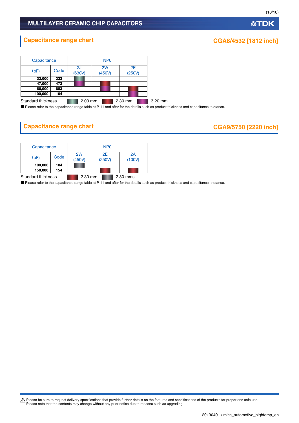# **Capacitance range chart CGA8/4532 [1812 inch]**

| Capacitance               |      |              | N <sub>P</sub> <sub>0</sub> |              |         |
|---------------------------|------|--------------|-----------------------------|--------------|---------|
| (pF)                      | Code | 2J<br>(630V) | 2W<br>(450V)                | 2E<br>(250V) |         |
| 33,000                    | 333  |              |                             |              |         |
| 47,000                    | 473  |              |                             |              |         |
| 68,000                    | 683  |              |                             |              |         |
| 100,000                   | 104  |              |                             |              |         |
| <b>Standard thickness</b> |      | 2.00 mm      |                             | 2.30 mm      | 3.20 mm |

■ Please refer to the capacitance range table at P-11 and after for the details such as product thickness and capacitance tolerance.

# **Capacitance range chart CGA9/5750 [2220 inch]**

| Capacitance        |      | N <sub>P</sub> O |              |  |              |  |  |  |
|--------------------|------|------------------|--------------|--|--------------|--|--|--|
| (pF)               | Code | 2W<br>(450V)     | 2F<br>(250V) |  | 2A<br>(100V) |  |  |  |
| 100,000            | 104  |                  |              |  |              |  |  |  |
| 150,000            | 154  |                  |              |  |              |  |  |  |
| Standard thickness |      | 2.30 mm          |              |  | 2.80 mms     |  |  |  |

■ Please refer to the capacitance range table at P-11 and after for the details such as product thickness and capacitance tolerance.

Please be sure to request delivery specifications that provide further details on the features and specifications of the products for proper and safe use.<br>Please note that the contents may change without any prior notice d

(10/16)

| 20190401 / mlcc_automotive_hightemp_en |  |
|----------------------------------------|--|
|----------------------------------------|--|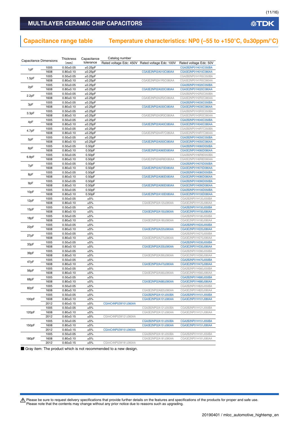### MULTILAYER CERAMIC CHIP CAPACITORS

# **Capacitance range table Temperature characteristics: NP0 (–55 to +150°C, 0±30ppm/°C)**

|       | <b>Capacitance Dimensions</b> | <b>Thickness</b>             | Capacitance   | Catalog number          |                         |                        |
|-------|-------------------------------|------------------------------|---------------|-------------------------|-------------------------|------------------------|
|       |                               | (mm)                         | tolerance     | Rated voltage Edc: 450V | Rated voltage Edc: 100V | Rated voltage Edc: 50V |
| 1pF   | 1005                          | $0.50 + 0.05$                | ±0.25pF       |                         |                         | CGA2B2NP01H010C050BA   |
|       | 1608                          | $0.80 + 0.10$                | ±0.25pF       |                         | CGA3E2NP02A010C080AA    | CGA3E2NP01H010C080AA   |
| 1.5pF | 1005                          | $0.50 + 0.05$                | $\pm 0.25$ pF |                         |                         | CGA2B2NP01H1R5C050BA   |
|       | 1608                          | $0.80 + 0.10$                | ±0.25pF       |                         | CGA3E2NP02A1R5C080AA    | CGA3E2NP01H1R5C080AA   |
| 2pF   | 1005                          | $0.50 + 0.05$                | ±0.25pF       |                         |                         | CGA2B2NP01H020C050BA   |
|       | 1608                          | $0.80 + 0.10$                | ±0.25pF       |                         | CGA3E2NP02A020C080AA    | CGA3E2NP01H020C080AA   |
| 2.2pF | 1005                          | $0.50 + 0.05$                | ±0.25pF       |                         |                         | CGA2B2NP01H2R2C050BA   |
|       | 1608                          | $0.80 + 0.10$                | ±0.25pF       |                         | CGA3E2NP02A2R2C080AA    | CGA3E2NP01H2R2C080AA   |
| 3pF   | 1005                          | $0.50 \pm 0.05$              | ±0.25pF       |                         |                         | CGA2B2NP01H030C050BA   |
|       | 1608                          | $0.80 + 0.10$                | ±0.25pF       |                         | CGA3E2NP02A030C080AA    | CGA3E2NP01H030C080AA   |
|       | 1005                          | $0.50 + 0.05$                | ±0.25pF       |                         |                         | CGA2B2NP01H3R3C050BA   |
| 3.3pF | 1608                          | $0.80{\scriptstyle \pm0.10}$ | $\pm 0.25$ pF |                         | CGA3E2NP02A3R3C080AA    | CGA3E2NP01H3R3C080AA   |
|       | 1005                          | $0.50 + 0.05$                | ±0.25pF       |                         |                         | CGA2B2NP01H040C050BA   |
| 4pF   | 1608                          | $0.80 + 0.10$                | ±0.25pF       |                         | CGA3E2NP02A040C080AA    | CGA3E2NP01H040C080AA   |
|       | 1005                          | $0.50 + 0.05$                | ±0.25pF       |                         |                         | CGA2B2NP01H4R7C050BA   |
| 4.7pF | 1608                          | $0.80 + 0.10$                | ±0.25pF       |                         | CGA3E2NP02A4R7C080AA    | CGA3E2NP01H4R7C080AA   |
|       | 1005                          | $0.50 \pm 0.05$              | $\pm 0.25$ pF |                         |                         | CGA2B2NP01H050C050BA   |
| 5pF   | 1608                          | $0.80 + 0.10$                | ±0.25pF       |                         | CGA3E2NP02A050C080AA    | CGA3E2NP01H050C080AA   |
|       | 1005                          | $0.50 \pm 0.05$              | 0.50pF        |                         |                         | CGA2B2NP01H060D050BA   |
| 6pF   | 1608                          | $0.80 + 0.10$                | 0.50pF        |                         | CGA3E2NP02A060D080AA    | CGA3E2NP01H060D080AA   |
|       | 1005                          | $0.50 \pm 0.05$              | 0.50pF        |                         |                         | CGA2B2NP01H6R8D050BA   |
| 6.8pF | 1608                          | $0.80 + 0.10$                | 0.50pF        |                         | CGA3E2NP02A6R8D080AA    | CGA3E2NP01H6R8D080AA   |
|       | 1005                          | $0.50 + 0.05$                | 0.50pF        |                         |                         | CGA2B2NP01H070D050BA   |
| 7pF   | 1608                          | $0.80 + 0.10$                | 0.50pF        |                         | CGA3E2NP02A070D080AA    | CGA3E2NP01H070D080AA   |
|       | 1005                          | $0.50 + 0.05$                | 0.50pF        |                         |                         | CGA2B2NP01H080D050BA   |
| 8pF   | 1608                          | $0.80 + 0.10$                | 0.50pF        |                         | CGA3E2NP02A080D080AA    | CGA3E2NP01H080D080AA   |
|       | 1005                          | $0.50 + 0.05$                | 0.50pF        |                         |                         | CGA2B2NP01H090D050BA   |
| 9pF   | 1608                          | $0.80 + 0.10$                |               |                         | CGA3E2NP02A090D080AA    | CGA3E2NP01H090D080AA   |
|       |                               |                              | 0.50pF        |                         |                         |                        |
| 10pF  | 1005                          | $0.50 + 0.05$                | 0.50pF        |                         |                         | CGA2B2NP01H100D050BA   |
|       | 1608                          | $0.80 + 0.10$                | 0.50pF        |                         | CGA3E2NP02A100D080AA    | CGA3E2NP01H100D080AA   |
| 12pF  | 1005                          | $0.50 + 0.05$                | ±5%           |                         |                         | CGA2B2NP01H120J050BA   |
|       | 1608                          | $0.80 + 0.10$                | ±5%           |                         | CGA3E2NP02A120J080AA    | CGA3E2NP01H120J080AA   |
| 15pF  | 1005                          | $0.50 + 0.05$                | ±5%           |                         |                         | CGA2B2NP01H150J050BA   |
|       | 1608                          | $0.80 + 0.10$                | ±5%           |                         | CGA3E2NP02A150J080AA    | CGA3E2NP01H150J080AA   |
| 18pF  | 1005                          | $0.50 + 0.05$                | ±5%           |                         |                         | CGA2B2NP01H180J050BA   |
|       | 1608                          | $0.80 + 0.10$                | ±5%           |                         | CGA3E2NP02A180J080AA    | CGA3E2NP01H180J080AA   |
| 22pF  | 1005                          | $0.50 + 0.05$                | ±5%           |                         |                         | CGA2B2NP01H220J050BA   |
|       | 1608                          | $0.80 + 0.10$                | ±5%           |                         | CGA3E2NP02A220J080AA    | CGA3E2NP01H220J080AA   |
| 27pF  | 1005                          | $0.50 + 0.05$                | ±5%           |                         |                         | CGA2B2NP01H270J050BA   |
|       | 1608                          | $0.80 + 0.10$                | ±5%           |                         | CGA3E2NP02A270J080AA    | CGA3E2NP01H270J080AA   |
| 33pF  | 1005                          | $0.50 + 0.05$                | ±5%           |                         |                         | CGA2B2NP01H330J050BA   |
|       | 1608                          | $0.80 + 0.10$                | ±5%           |                         | CGA3E2NP02A330J080AA    | CGA3E2NP01H330J080AA   |
|       | 1005                          | $0.50 + 0.05$                | ±5%           |                         |                         | CGA2B2NP01H390J050BA   |
| 39pF  | 1608                          | $0.80 + 0.10$                | ±5%           |                         | CGA3E2NP02A390J080AA    | CGA3E2NP01H390J080AA   |
|       | 1005                          | $0.50 + 0.05$                | ±5%           |                         |                         | CGA2B2NP01H470J050BA   |
| 47pF  | 1608                          | $0.80 + 0.10$                | ±5%           |                         | CGA3E2NP02A470J080AA    | CGA3E2NP01H470J080AA   |
|       | 1005                          | $0.50 + 0.05$                | ±5%           |                         |                         | CGA2B2NP01H560J050BA   |
| 56pF  | 1608                          | $0.80 + 0.10$                | ±5%           |                         | CGA3E2NP02A560J080AA    | CGA3E2NP01H560J080AA   |
|       | 1005                          | $0.50 \pm 0.05$              | ±5%           |                         |                         | CGA2B2NP01H680J050BA   |
| 68pF  | 1608                          | 0.80±0.10                    | ±5%           |                         | CGA3E2NP02A680J080AA    | CGA3E2NP01H680J080AA   |
|       | 1005                          | $0.50 + 0.05$                | ±5%           |                         |                         | CGA2B2NP01H820J050BA   |
| 82pF  | 1608                          | $0.80 + 0.10$                | ±5%           |                         | CGA3E2NP02A820J080AA    | CGA3E2NP01H820J080AA   |
|       | 1005                          | $0.50 + 0.05$                | ±5%           |                         | CGA2B2NP02A101J050BA    | CGA2B2NP01H101J050BA   |
| 100pF | 1608                          | $0.80 + 0.10$                | ±5%           |                         | CGA3E2NP02A101J080AA    | CGA3E2NP01H101J080AA   |
|       | 2012                          | $0.60 + 0.15$                | ±5%           | CGA4C4NP02W101J060AA    |                         |                        |
|       | 1005                          | $0.50 + 0.05$                | ±5%           |                         | CGA2B2NP02A121J050BA    | CGA2B2NP01H121J050BA   |
| 120pF | 1608                          | $0.80 + 0.10$                | ±5%           |                         | CGA3E2NP02A121J080AA    | CGA3E2NP01H121J080AA   |
|       |                               |                              |               | CGA4C4NP02W121J060AA    |                         |                        |
|       | 2012                          | $0.60 \pm 0.15$              | ±5%           |                         |                         |                        |
|       | 1005                          | $0.50 + 0.05$                | ±5%           |                         | CGA2B2NP02A151J050BA    | CGA2B2NP01H151J050BA   |
| 150pF | 1608                          | $0.80 + 0.10$                | ±5%           |                         | CGA3E2NP02A151J080AA    | CGA3E2NP01H151J080AA   |
|       | 2012                          | $0.60 + 0.15$                | ±5%           | CGA4C4NP02W151J060AA    |                         |                        |
|       | 1005                          | $0.50 + 0.05$                | ±5%           |                         | CGA2B2NP02A181J050BA    | CGA2B2NP01H181J050BA   |
| 180pF | 1608                          | $0.80 + 0.10$                | ±5%           |                         | CGA3E2NP02A181J080AA    | CGA3E2NP01H181J080AA   |
|       | 2012                          | $0.60 \pm 0.15$              | ±5%           | CGA4C4NP02W181J060AA    |                         |                        |

■ Gray item: The product which is not recommended to a new design.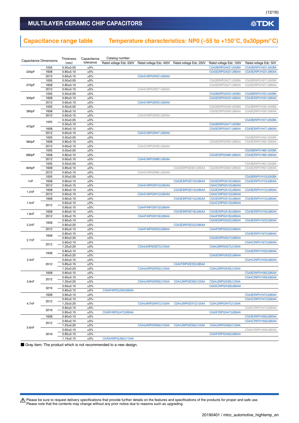### MULTILAYER CERAMIC CHIP CAPACITORS

# **Capacitance range table Temperature characteristics: NP0 (–55 to +150°C, 0±30ppm/°C)**

|                                                                                                                                                                    | Capacitance Dimensions | Thickness                        | Capacitance | Catalog number                                                                                                                                                                                                                                                                                                                                                                                                                                                                                                                                                                                                                                                                                                                                               |                      |                                                                                                                                                                                                                                                                                                 |                                                                                                                                                                                                                                                                                                                                                                                                                                                                                                                                                                                                                                                                                                                                                                      |                        |
|--------------------------------------------------------------------------------------------------------------------------------------------------------------------|------------------------|----------------------------------|-------------|--------------------------------------------------------------------------------------------------------------------------------------------------------------------------------------------------------------------------------------------------------------------------------------------------------------------------------------------------------------------------------------------------------------------------------------------------------------------------------------------------------------------------------------------------------------------------------------------------------------------------------------------------------------------------------------------------------------------------------------------------------------|----------------------|-------------------------------------------------------------------------------------------------------------------------------------------------------------------------------------------------------------------------------------------------------------------------------------------------|----------------------------------------------------------------------------------------------------------------------------------------------------------------------------------------------------------------------------------------------------------------------------------------------------------------------------------------------------------------------------------------------------------------------------------------------------------------------------------------------------------------------------------------------------------------------------------------------------------------------------------------------------------------------------------------------------------------------------------------------------------------------|------------------------|
|                                                                                                                                                                    |                        | (mm)                             | tolerance   | Rated voltage Edc: 630V                                                                                                                                                                                                                                                                                                                                                                                                                                                                                                                                                                                                                                                                                                                                      |                      |                                                                                                                                                                                                                                                                                                 | Rated voltage Edc: 100V                                                                                                                                                                                                                                                                                                                                                                                                                                                                                                                                                                                                                                                                                                                                              | Rated voltage Edc: 50V |
|                                                                                                                                                                    | 1005                   | $0.50 + 0.05$                    | ±5%         |                                                                                                                                                                                                                                                                                                                                                                                                                                                                                                                                                                                                                                                                                                                                                              |                      |                                                                                                                                                                                                                                                                                                 | CGA2B2NP02A221J050BA                                                                                                                                                                                                                                                                                                                                                                                                                                                                                                                                                                                                                                                                                                                                                 | CGA2B2NP01H221J050BA   |
| 220pF                                                                                                                                                              | 1608                   | $0.80 + 0.10$                    | ±5%         |                                                                                                                                                                                                                                                                                                                                                                                                                                                                                                                                                                                                                                                                                                                                                              |                      |                                                                                                                                                                                                                                                                                                 | CGA3E2NP02A221J080AA                                                                                                                                                                                                                                                                                                                                                                                                                                                                                                                                                                                                                                                                                                                                                 | CGA3E2NP01H221J080AA   |
|                                                                                                                                                                    | 2012                   | $0.60 + 0.15$                    | ±5%         |                                                                                                                                                                                                                                                                                                                                                                                                                                                                                                                                                                                                                                                                                                                                                              | CGA4C4NP02W221J060AA |                                                                                                                                                                                                                                                                                                 | CGA2B2NP02A271J050BA<br>CGA3E2NP02A271J080AA<br>CGA2B2NP02A331J050BA<br>CGA3E2NP02A331J080AA<br>CGA2B2NP02A391J050BA<br>CGA3E2NP02A391J080AA<br>CGA2B2NP02A471J050BA<br>CGA3E2NP02A471J080AA<br>CGA3E2NP02A561J080AA<br>CGA3E2NP02A681J080AA<br>CGA3E2NP02A821J080AA<br>CGA3E2NP02A102J080AA<br>CGA4C2NP02A102J060AA<br>CGA3E2NP02A122J080AA<br>CGA4C2NP02A122J060AA<br>CGA3E2NP02A152J080AA<br>CGA4C2NP02A152J060AA<br>CGA3E2NP02A182J080AA<br>CGA4F2NP02A182J085AA<br>CGA3E2NP02A222J080AA<br>CGA4F2NP02A222J085AA<br>CGA3E2NP02A272J080AA<br>CGA4J2NP02A272J125AA<br>CGA3E2NP02A332J080AA<br>CGA4J2NP02A332J125AA<br>CGA4J2NP02A392J125AA<br>CGA5C2NP02A392J060AA<br>CGA4J2NP02A472J125AA<br>CGA5F2NP02A472J085AA<br>CGA4J2NP02A562J125AA<br>CGA5F2NP02A562J085AA |                        |
|                                                                                                                                                                    | 1005                   | $0.50 + 0.05$                    | ±5%         |                                                                                                                                                                                                                                                                                                                                                                                                                                                                                                                                                                                                                                                                                                                                                              |                      |                                                                                                                                                                                                                                                                                                 |                                                                                                                                                                                                                                                                                                                                                                                                                                                                                                                                                                                                                                                                                                                                                                      | CGA2B2NP01H271J050BA   |
| 270pF                                                                                                                                                              | 1608                   | $0.80 + 0.10$                    | ±5%         |                                                                                                                                                                                                                                                                                                                                                                                                                                                                                                                                                                                                                                                                                                                                                              |                      |                                                                                                                                                                                                                                                                                                 |                                                                                                                                                                                                                                                                                                                                                                                                                                                                                                                                                                                                                                                                                                                                                                      | CGA3E2NP01H271J080AA   |
|                                                                                                                                                                    | 2012                   | $0.60 + 0.15$                    | ±5%         |                                                                                                                                                                                                                                                                                                                                                                                                                                                                                                                                                                                                                                                                                                                                                              | CGA4C4NP02W271J060AA |                                                                                                                                                                                                                                                                                                 |                                                                                                                                                                                                                                                                                                                                                                                                                                                                                                                                                                                                                                                                                                                                                                      |                        |
|                                                                                                                                                                    | 1005                   | $0.50 + 0.05$                    | ±5%         |                                                                                                                                                                                                                                                                                                                                                                                                                                                                                                                                                                                                                                                                                                                                                              |                      |                                                                                                                                                                                                                                                                                                 |                                                                                                                                                                                                                                                                                                                                                                                                                                                                                                                                                                                                                                                                                                                                                                      | CGA2B2NP01H331J050BA   |
| 330pF                                                                                                                                                              | 1608                   | $0.80 + 0.10$                    | ±5%         |                                                                                                                                                                                                                                                                                                                                                                                                                                                                                                                                                                                                                                                                                                                                                              |                      |                                                                                                                                                                                                                                                                                                 |                                                                                                                                                                                                                                                                                                                                                                                                                                                                                                                                                                                                                                                                                                                                                                      | CGA3E2NP01H331J080AA   |
|                                                                                                                                                                    | 2012                   | $0.60 + 0.15$                    | ±5%         |                                                                                                                                                                                                                                                                                                                                                                                                                                                                                                                                                                                                                                                                                                                                                              | CGA4C4NP02W331J060AA |                                                                                                                                                                                                                                                                                                 |                                                                                                                                                                                                                                                                                                                                                                                                                                                                                                                                                                                                                                                                                                                                                                      |                        |
|                                                                                                                                                                    | 1005                   | $0.50 + 0.05$                    | ±5%         |                                                                                                                                                                                                                                                                                                                                                                                                                                                                                                                                                                                                                                                                                                                                                              |                      |                                                                                                                                                                                                                                                                                                 |                                                                                                                                                                                                                                                                                                                                                                                                                                                                                                                                                                                                                                                                                                                                                                      | CGA2B2NP01H391J050BA   |
| 390pF                                                                                                                                                              | 1608                   | $0.80 + 0.10$                    | ±5%         |                                                                                                                                                                                                                                                                                                                                                                                                                                                                                                                                                                                                                                                                                                                                                              |                      |                                                                                                                                                                                                                                                                                                 |                                                                                                                                                                                                                                                                                                                                                                                                                                                                                                                                                                                                                                                                                                                                                                      | CGA3E2NP01H391J080AA   |
|                                                                                                                                                                    | 2012                   | $0.60 + 0.15$                    |             |                                                                                                                                                                                                                                                                                                                                                                                                                                                                                                                                                                                                                                                                                                                                                              |                      |                                                                                                                                                                                                                                                                                                 |                                                                                                                                                                                                                                                                                                                                                                                                                                                                                                                                                                                                                                                                                                                                                                      |                        |
|                                                                                                                                                                    | 1005                   | $0.50 + 0.05$                    | ±5%         |                                                                                                                                                                                                                                                                                                                                                                                                                                                                                                                                                                                                                                                                                                                                                              |                      |                                                                                                                                                                                                                                                                                                 |                                                                                                                                                                                                                                                                                                                                                                                                                                                                                                                                                                                                                                                                                                                                                                      | CGA2B2NP01H471J050BA   |
|                                                                                                                                                                    |                        | $0.50 + 0.10$                    | ±5%         |                                                                                                                                                                                                                                                                                                                                                                                                                                                                                                                                                                                                                                                                                                                                                              |                      |                                                                                                                                                                                                                                                                                                 |                                                                                                                                                                                                                                                                                                                                                                                                                                                                                                                                                                                                                                                                                                                                                                      |                        |
|                                                                                                                                                                    | 1608                   | $0.80 + 0.10$                    |             |                                                                                                                                                                                                                                                                                                                                                                                                                                                                                                                                                                                                                                                                                                                                                              |                      |                                                                                                                                                                                                                                                                                                 |                                                                                                                                                                                                                                                                                                                                                                                                                                                                                                                                                                                                                                                                                                                                                                      | CGA3E2NP01H471J080AA   |
|                                                                                                                                                                    | 2012                   | $0.60 + 0.15$                    | ±5%         |                                                                                                                                                                                                                                                                                                                                                                                                                                                                                                                                                                                                                                                                                                                                                              | CGA4C4NP02W471J060AA |                                                                                                                                                                                                                                                                                                 |                                                                                                                                                                                                                                                                                                                                                                                                                                                                                                                                                                                                                                                                                                                                                                      |                        |
|                                                                                                                                                                    | 1005                   | $0.50 + 0.05$                    | ±5%         |                                                                                                                                                                                                                                                                                                                                                                                                                                                                                                                                                                                                                                                                                                                                                              |                      |                                                                                                                                                                                                                                                                                                 |                                                                                                                                                                                                                                                                                                                                                                                                                                                                                                                                                                                                                                                                                                                                                                      | CGA2B2NP01H561J050BA   |
| 560pF                                                                                                                                                              | 1608                   | $0.80 + 0.10$                    | ±5%         |                                                                                                                                                                                                                                                                                                                                                                                                                                                                                                                                                                                                                                                                                                                                                              |                      | Rated voltage Edc: 450V Rated voltage Edc: 250V<br>CGA3E3NP02E821J080AA<br>CGA3E3NP02E102J080AA<br>CGA3E3NP02E122J080AA<br>CGA3E3NP02E152J080AA<br>CGA3E3NP02E182J080AA<br>CGA3E3NP02E222J080AA<br>CGA4F3NP02E332J085AA<br>CGA4J3NP02E392J125AA<br>CGA4J3NP02E472J125AA<br>CGA4J3NP02E562J125AA | CGA3E2NP01H561J080AA                                                                                                                                                                                                                                                                                                                                                                                                                                                                                                                                                                                                                                                                                                                                                 |                        |
|                                                                                                                                                                    | 2012                   | $0.60 + 0.15$                    | ±5%         |                                                                                                                                                                                                                                                                                                                                                                                                                                                                                                                                                                                                                                                                                                                                                              |                      |                                                                                                                                                                                                                                                                                                 |                                                                                                                                                                                                                                                                                                                                                                                                                                                                                                                                                                                                                                                                                                                                                                      |                        |
|                                                                                                                                                                    | 1005                   | $0.50 + 0.05$                    |             |                                                                                                                                                                                                                                                                                                                                                                                                                                                                                                                                                                                                                                                                                                                                                              |                      |                                                                                                                                                                                                                                                                                                 |                                                                                                                                                                                                                                                                                                                                                                                                                                                                                                                                                                                                                                                                                                                                                                      | CGA2B2NP01H681J050BA   |
|                                                                                                                                                                    | 1608                   | $0.80 + 0.10$                    |             |                                                                                                                                                                                                                                                                                                                                                                                                                                                                                                                                                                                                                                                                                                                                                              |                      |                                                                                                                                                                                                                                                                                                 |                                                                                                                                                                                                                                                                                                                                                                                                                                                                                                                                                                                                                                                                                                                                                                      | CGA3E2NP01H681J080AA   |
|                                                                                                                                                                    | 2012                   | $0.60 + 0.15$                    |             |                                                                                                                                                                                                                                                                                                                                                                                                                                                                                                                                                                                                                                                                                                                                                              |                      |                                                                                                                                                                                                                                                                                                 |                                                                                                                                                                                                                                                                                                                                                                                                                                                                                                                                                                                                                                                                                                                                                                      |                        |
|                                                                                                                                                                    | 1005                   | $0.50 + 0.05$                    |             |                                                                                                                                                                                                                                                                                                                                                                                                                                                                                                                                                                                                                                                                                                                                                              |                      |                                                                                                                                                                                                                                                                                                 |                                                                                                                                                                                                                                                                                                                                                                                                                                                                                                                                                                                                                                                                                                                                                                      | CGA2B2NP01H821J050BA   |
|                                                                                                                                                                    | 1608                   | $0.80 + 0.10$                    |             |                                                                                                                                                                                                                                                                                                                                                                                                                                                                                                                                                                                                                                                                                                                                                              |                      |                                                                                                                                                                                                                                                                                                 |                                                                                                                                                                                                                                                                                                                                                                                                                                                                                                                                                                                                                                                                                                                                                                      | CGA3E2NP01H821J080AA   |
|                                                                                                                                                                    | 2012                   | $0.60 + 0.15$                    |             |                                                                                                                                                                                                                                                                                                                                                                                                                                                                                                                                                                                                                                                                                                                                                              |                      |                                                                                                                                                                                                                                                                                                 |                                                                                                                                                                                                                                                                                                                                                                                                                                                                                                                                                                                                                                                                                                                                                                      |                        |
|                                                                                                                                                                    |                        |                                  |             |                                                                                                                                                                                                                                                                                                                                                                                                                                                                                                                                                                                                                                                                                                                                                              |                      |                                                                                                                                                                                                                                                                                                 |                                                                                                                                                                                                                                                                                                                                                                                                                                                                                                                                                                                                                                                                                                                                                                      | CGA2B2NP01H102J050BA   |
| 1005<br>$0.50 + 0.05$<br>$0.80 + 0.10$<br>1nF<br>1608<br>2012<br>$0.60 + 0.15$<br>1608<br>$0.80 + 0.10$<br>1.2nF<br>2012<br>$0.60 + 0.15$<br>$0.80 + 0.10$<br>1608 |                        |                                  |             |                                                                                                                                                                                                                                                                                                                                                                                                                                                                                                                                                                                                                                                                                                                                                              |                      | CGA3E2NP01H102J080AA                                                                                                                                                                                                                                                                            |                                                                                                                                                                                                                                                                                                                                                                                                                                                                                                                                                                                                                                                                                                                                                                      |                        |
|                                                                                                                                                                    |                        |                                  |             |                                                                                                                                                                                                                                                                                                                                                                                                                                                                                                                                                                                                                                                                                                                                                              |                      |                                                                                                                                                                                                                                                                                                 |                                                                                                                                                                                                                                                                                                                                                                                                                                                                                                                                                                                                                                                                                                                                                                      |                        |
|                                                                                                                                                                    |                        |                                  |             |                                                                                                                                                                                                                                                                                                                                                                                                                                                                                                                                                                                                                                                                                                                                                              |                      |                                                                                                                                                                                                                                                                                                 |                                                                                                                                                                                                                                                                                                                                                                                                                                                                                                                                                                                                                                                                                                                                                                      | CGA3E2NP01H122J080AA   |
|                                                                                                                                                                    |                        |                                  |             |                                                                                                                                                                                                                                                                                                                                                                                                                                                                                                                                                                                                                                                                                                                                                              |                      |                                                                                                                                                                                                                                                                                                 |                                                                                                                                                                                                                                                                                                                                                                                                                                                                                                                                                                                                                                                                                                                                                                      |                        |
| 1.5nF                                                                                                                                                              |                        |                                  |             |                                                                                                                                                                                                                                                                                                                                                                                                                                                                                                                                                                                                                                                                                                                                                              |                      |                                                                                                                                                                                                                                                                                                 |                                                                                                                                                                                                                                                                                                                                                                                                                                                                                                                                                                                                                                                                                                                                                                      | CGA3E2NP01H152J080AA   |
|                                                                                                                                                                    | 2012                   | $0.60 \pm 0.15$                  |             |                                                                                                                                                                                                                                                                                                                                                                                                                                                                                                                                                                                                                                                                                                                                                              |                      |                                                                                                                                                                                                                                                                                                 |                                                                                                                                                                                                                                                                                                                                                                                                                                                                                                                                                                                                                                                                                                                                                                      |                        |
|                                                                                                                                                                    |                        | $0.85 \pm 0.15$                  |             |                                                                                                                                                                                                                                                                                                                                                                                                                                                                                                                                                                                                                                                                                                                                                              |                      |                                                                                                                                                                                                                                                                                                 |                                                                                                                                                                                                                                                                                                                                                                                                                                                                                                                                                                                                                                                                                                                                                                      |                        |
|                                                                                                                                                                    | 1608                   | $0.80 + 0.10$                    |             |                                                                                                                                                                                                                                                                                                                                                                                                                                                                                                                                                                                                                                                                                                                                                              |                      |                                                                                                                                                                                                                                                                                                 |                                                                                                                                                                                                                                                                                                                                                                                                                                                                                                                                                                                                                                                                                                                                                                      | CGA3E2NP01H182J080AA   |
|                                                                                                                                                                    | 2012                   | $0.85 + 0.15$                    |             |                                                                                                                                                                                                                                                                                                                                                                                                                                                                                                                                                                                                                                                                                                                                                              |                      |                                                                                                                                                                                                                                                                                                 |                                                                                                                                                                                                                                                                                                                                                                                                                                                                                                                                                                                                                                                                                                                                                                      |                        |
|                                                                                                                                                                    | 1608                   | $0.80 + 0.10$                    |             |                                                                                                                                                                                                                                                                                                                                                                                                                                                                                                                                                                                                                                                                                                                                                              |                      |                                                                                                                                                                                                                                                                                                 |                                                                                                                                                                                                                                                                                                                                                                                                                                                                                                                                                                                                                                                                                                                                                                      | CGA3E2NP01H222J080AA   |
|                                                                                                                                                                    |                        | $0.80 + 0.20$                    |             |                                                                                                                                                                                                                                                                                                                                                                                                                                                                                                                                                                                                                                                                                                                                                              |                      |                                                                                                                                                                                                                                                                                                 |                                                                                                                                                                                                                                                                                                                                                                                                                                                                                                                                                                                                                                                                                                                                                                      |                        |
|                                                                                                                                                                    | 2012                   | $0.85 + 0.15$                    |             |                                                                                                                                                                                                                                                                                                                                                                                                                                                                                                                                                                                                                                                                                                                                                              |                      |                                                                                                                                                                                                                                                                                                 |                                                                                                                                                                                                                                                                                                                                                                                                                                                                                                                                                                                                                                                                                                                                                                      |                        |
|                                                                                                                                                                    | 1608                   | $0.80 + 0.10$                    |             |                                                                                                                                                                                                                                                                                                                                                                                                                                                                                                                                                                                                                                                                                                                                                              |                      |                                                                                                                                                                                                                                                                                                 |                                                                                                                                                                                                                                                                                                                                                                                                                                                                                                                                                                                                                                                                                                                                                                      | CGA3E2NP01H272J080AA   |
| 470pF<br>680pF<br>820pF<br>1.8nF<br>2.2nF<br>2.7nF<br>3.3nF<br>3.9nF<br>4.7nF                                                                                      |                        | $0.80 + 0.20$                    |             |                                                                                                                                                                                                                                                                                                                                                                                                                                                                                                                                                                                                                                                                                                                                                              |                      |                                                                                                                                                                                                                                                                                                 |                                                                                                                                                                                                                                                                                                                                                                                                                                                                                                                                                                                                                                                                                                                                                                      |                        |
|                                                                                                                                                                    | 2012                   | $0.60 + 0.15$                    |             |                                                                                                                                                                                                                                                                                                                                                                                                                                                                                                                                                                                                                                                                                                                                                              |                      |                                                                                                                                                                                                                                                                                                 |                                                                                                                                                                                                                                                                                                                                                                                                                                                                                                                                                                                                                                                                                                                                                                      | CGA4C2NP01H272J060AA   |
|                                                                                                                                                                    |                        | $1.25 \pm 0.20$                  |             |                                                                                                                                                                                                                                                                                                                                                                                                                                                                                                                                                                                                                                                                                                                                                              |                      |                                                                                                                                                                                                                                                                                                 |                                                                                                                                                                                                                                                                                                                                                                                                                                                                                                                                                                                                                                                                                                                                                                      |                        |
|                                                                                                                                                                    | 1608                   | $0.80 + 0.10$                    |             |                                                                                                                                                                                                                                                                                                                                                                                                                                                                                                                                                                                                                                                                                                                                                              |                      |                                                                                                                                                                                                                                                                                                 |                                                                                                                                                                                                                                                                                                                                                                                                                                                                                                                                                                                                                                                                                                                                                                      | CGA3E2NP01H332J080AA   |
|                                                                                                                                                                    |                        | $0.80 + 0.20$                    |             |                                                                                                                                                                                                                                                                                                                                                                                                                                                                                                                                                                                                                                                                                                                                                              |                      |                                                                                                                                                                                                                                                                                                 |                                                                                                                                                                                                                                                                                                                                                                                                                                                                                                                                                                                                                                                                                                                                                                      | CGA4C2NP01H332J060AA   |
|                                                                                                                                                                    | 2012                   | $0.60 + 0.15$<br>$0.85 \pm 0.15$ |             | ±5%<br>CGA4C4NP02W391J060AA<br>±5%<br>CGA4C4NP02W561J060AA<br>±5%<br>±5%<br>$\pm 5\%$<br>CGA4C4NP02W681J060AA<br>±5%<br>±5%<br>±5%<br>CGA4C4NP02W821J060AA<br>±5%<br>±5%<br>±5%<br>CGA4C4NP02W102J060AA<br>±5%<br>±5%<br>CGA4C4NP02W122J060AA<br>±5%<br>±5%<br>±5%<br>CGA4F4NP02W152J085AA<br>±5%<br>±5%<br>CGA4F4NP02W182J085AA<br>±5%<br>±5%<br>CGA4F4NP02W222J085AA<br>±5%<br>±5%<br>±5%<br>±5%<br>±5%<br>CGA4J4NP02W272J125AA<br>±5%<br>±5%<br>±5%<br>±5%<br>±5%<br>CGA4J4NP02W332J125AA<br>±5%<br>±5%<br>±5%<br>CGA4J4NP02W392J125AA<br>±5%<br>CGA5F4NP02J392J085AA<br>±5%<br>±5%<br>±5%<br>±5%<br>CGA4J4NP02W472J125AA<br>±5%<br>±5%<br>CGA5F4NP02J472J085AA<br>±5%<br>±5%<br>±5%<br>CGA4J4NP02W562J125AA<br>±5%<br>±5%<br>CGA5H4NP02J562J115AA<br>±5% |                      |                                                                                                                                                                                                                                                                                                 |                                                                                                                                                                                                                                                                                                                                                                                                                                                                                                                                                                                                                                                                                                                                                                      |                        |
|                                                                                                                                                                    |                        | $1.25 \pm 0.20$                  |             |                                                                                                                                                                                                                                                                                                                                                                                                                                                                                                                                                                                                                                                                                                                                                              |                      |                                                                                                                                                                                                                                                                                                 |                                                                                                                                                                                                                                                                                                                                                                                                                                                                                                                                                                                                                                                                                                                                                                      |                        |
|                                                                                                                                                                    | 1608                   | $0.80 + 0.10$                    |             |                                                                                                                                                                                                                                                                                                                                                                                                                                                                                                                                                                                                                                                                                                                                                              |                      |                                                                                                                                                                                                                                                                                                 |                                                                                                                                                                                                                                                                                                                                                                                                                                                                                                                                                                                                                                                                                                                                                                      | CGA3E2NP01H392J080AA   |
|                                                                                                                                                                    |                        | $0.60 \pm 0.15$                  |             |                                                                                                                                                                                                                                                                                                                                                                                                                                                                                                                                                                                                                                                                                                                                                              |                      |                                                                                                                                                                                                                                                                                                 |                                                                                                                                                                                                                                                                                                                                                                                                                                                                                                                                                                                                                                                                                                                                                                      | CGA4C2NP01H392J060AA   |
|                                                                                                                                                                    | 2012                   | $1.25 \pm 0.20$                  |             |                                                                                                                                                                                                                                                                                                                                                                                                                                                                                                                                                                                                                                                                                                                                                              |                      |                                                                                                                                                                                                                                                                                                 |                                                                                                                                                                                                                                                                                                                                                                                                                                                                                                                                                                                                                                                                                                                                                                      |                        |
|                                                                                                                                                                    |                        | $0.60 \pm 0.15$                  |             |                                                                                                                                                                                                                                                                                                                                                                                                                                                                                                                                                                                                                                                                                                                                                              |                      |                                                                                                                                                                                                                                                                                                 |                                                                                                                                                                                                                                                                                                                                                                                                                                                                                                                                                                                                                                                                                                                                                                      |                        |
|                                                                                                                                                                    | 3216                   | $0.85 \pm 0.15$                  |             |                                                                                                                                                                                                                                                                                                                                                                                                                                                                                                                                                                                                                                                                                                                                                              |                      |                                                                                                                                                                                                                                                                                                 |                                                                                                                                                                                                                                                                                                                                                                                                                                                                                                                                                                                                                                                                                                                                                                      |                        |
|                                                                                                                                                                    | 1608                   | $0.80 + 0.10$                    |             |                                                                                                                                                                                                                                                                                                                                                                                                                                                                                                                                                                                                                                                                                                                                                              |                      |                                                                                                                                                                                                                                                                                                 |                                                                                                                                                                                                                                                                                                                                                                                                                                                                                                                                                                                                                                                                                                                                                                      | CGA3E2NP01H472J080AA   |
|                                                                                                                                                                    |                        | $0.60 + 0.15$                    |             |                                                                                                                                                                                                                                                                                                                                                                                                                                                                                                                                                                                                                                                                                                                                                              |                      |                                                                                                                                                                                                                                                                                                 |                                                                                                                                                                                                                                                                                                                                                                                                                                                                                                                                                                                                                                                                                                                                                                      | CGA4C2NP01H472J060AA   |
|                                                                                                                                                                    | 2012                   | $1.25 \pm 0.20$                  |             |                                                                                                                                                                                                                                                                                                                                                                                                                                                                                                                                                                                                                                                                                                                                                              |                      |                                                                                                                                                                                                                                                                                                 |                                                                                                                                                                                                                                                                                                                                                                                                                                                                                                                                                                                                                                                                                                                                                                      |                        |
|                                                                                                                                                                    |                        | $0.60 \pm 0.15$                  |             |                                                                                                                                                                                                                                                                                                                                                                                                                                                                                                                                                                                                                                                                                                                                                              |                      |                                                                                                                                                                                                                                                                                                 |                                                                                                                                                                                                                                                                                                                                                                                                                                                                                                                                                                                                                                                                                                                                                                      | CGA5C2NP01H472J060AA   |
|                                                                                                                                                                    | 3216                   | $0.85 \pm 0.15$                  |             |                                                                                                                                                                                                                                                                                                                                                                                                                                                                                                                                                                                                                                                                                                                                                              |                      |                                                                                                                                                                                                                                                                                                 |                                                                                                                                                                                                                                                                                                                                                                                                                                                                                                                                                                                                                                                                                                                                                                      |                        |
|                                                                                                                                                                    | 1608                   | $0.80 + 0.10$                    |             |                                                                                                                                                                                                                                                                                                                                                                                                                                                                                                                                                                                                                                                                                                                                                              |                      |                                                                                                                                                                                                                                                                                                 |                                                                                                                                                                                                                                                                                                                                                                                                                                                                                                                                                                                                                                                                                                                                                                      | CGA3E2NP01H562J080AA   |
|                                                                                                                                                                    |                        | $0.60 \pm 0.15$                  |             |                                                                                                                                                                                                                                                                                                                                                                                                                                                                                                                                                                                                                                                                                                                                                              |                      |                                                                                                                                                                                                                                                                                                 |                                                                                                                                                                                                                                                                                                                                                                                                                                                                                                                                                                                                                                                                                                                                                                      | CGA4C2NP01H562J060AA   |
|                                                                                                                                                                    | 2012                   | $1.25 \pm 0.20$                  |             |                                                                                                                                                                                                                                                                                                                                                                                                                                                                                                                                                                                                                                                                                                                                                              |                      |                                                                                                                                                                                                                                                                                                 |                                                                                                                                                                                                                                                                                                                                                                                                                                                                                                                                                                                                                                                                                                                                                                      |                        |
| 5.6nF                                                                                                                                                              |                        | $0.60 + 0.15$                    |             |                                                                                                                                                                                                                                                                                                                                                                                                                                                                                                                                                                                                                                                                                                                                                              |                      |                                                                                                                                                                                                                                                                                                 |                                                                                                                                                                                                                                                                                                                                                                                                                                                                                                                                                                                                                                                                                                                                                                      | CGA5C2NP01H562J060AA   |
|                                                                                                                                                                    | 3216                   | $0.85 \pm 0.15$                  |             |                                                                                                                                                                                                                                                                                                                                                                                                                                                                                                                                                                                                                                                                                                                                                              |                      |                                                                                                                                                                                                                                                                                                 |                                                                                                                                                                                                                                                                                                                                                                                                                                                                                                                                                                                                                                                                                                                                                                      |                        |
|                                                                                                                                                                    |                        | $1.15 \pm 0.15$                  |             |                                                                                                                                                                                                                                                                                                                                                                                                                                                                                                                                                                                                                                                                                                                                                              |                      |                                                                                                                                                                                                                                                                                                 |                                                                                                                                                                                                                                                                                                                                                                                                                                                                                                                                                                                                                                                                                                                                                                      |                        |

■ Gray item: The product which is not recommended to a new design.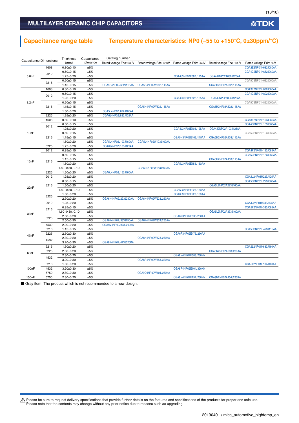### MULTILAYER CERAMIC CHIP CAPACITORS

# **Capacitance range table Temperature characteristics: NP0 (–55 to +150°C, 0±30ppm/°C)**

| <b>Capacitance Dimensions</b>                                               |      | Thickness            | Capacitance | Catalog number          |                      |                                                 |                         |                        |
|-----------------------------------------------------------------------------|------|----------------------|-------------|-------------------------|----------------------|-------------------------------------------------|-------------------------|------------------------|
|                                                                             |      | (mm)                 | tolerance   | Rated voltage Edc: 630V |                      | Rated voltage Edc: 450V Rated voltage Edc: 250V | Rated voltage Edc: 100V | Rated voltage Edc: 50V |
|                                                                             | 1608 | $0.80 + 0.10$        | ±5%         |                         |                      |                                                 |                         | CGA3E2NP01H682J080AA   |
|                                                                             | 2012 | $0.60 + 0.15$        | ±5%         |                         |                      |                                                 |                         | CGA4C2NP01H682J060AA   |
| 6.8nF<br>8.2nF<br>10 <sub>n</sub> F<br>15nF<br>22nF<br>33nF<br>47nF<br>68nF |      | $1.25 \pm 0.20$      | ±5%         |                         |                      | CGA4J3NP02E682J125AA                            | CGA4J2NP02A682J125AA    |                        |
|                                                                             | 3216 | $0.60 + 0.15$        | ±5%         |                         |                      |                                                 |                         | CGA5C2NP01H682J060AA   |
|                                                                             |      | $1.15 \pm 0.15$      | ±5%         | CGA5H4NP02J682J115AA    | CGA5H4NP02W682J115AA |                                                 | CGA5H2NP02A682J115AA    |                        |
|                                                                             | 1608 | $0.80 + 0.10$        | ±5%         |                         |                      |                                                 |                         | CGA3E2NP01H822J080AA   |
|                                                                             | 2012 | $0.60 + 0.15$        | ±5%         |                         |                      |                                                 |                         | CGA4C2NP01H822J060AA   |
|                                                                             |      | $1.25 \pm 0.20$      | ±5%         |                         |                      | CGA4J3NP02E822J125AA                            | CGA4J2NP02A822J125AA    |                        |
|                                                                             |      | $0.60 + 0.15$        | ±5%         |                         |                      |                                                 |                         | CGA5C2NP01H822J060AA   |
|                                                                             | 3216 | $1.15 \pm 0.15$      | ±5%         |                         | CGA5H4NP02W822J115AA |                                                 | CGA5H2NP02A822J115AA    |                        |
|                                                                             |      | $1.60 + 0.20$        | ±5%         | CGA5L4NP02J822J160AA    |                      |                                                 |                         |                        |
|                                                                             | 3225 | $1.25 \pm 0.20$      | ±5%         | CGA6J4NP02J822J125AA    |                      |                                                 |                         |                        |
|                                                                             | 1608 | $0.80 + 0.10$        | ±5%         |                         |                      |                                                 |                         | CGA3E2NP01H103J080AA   |
|                                                                             | 2012 | $0.60 + 0.15$        | ±5%         |                         |                      |                                                 |                         | CGA4C2NP01H103J060AA   |
|                                                                             |      | $1.25 \pm 0.20$      | ±5%         |                         |                      | CGA4J3NP02E103J125AA                            | CGA4J2NP02A103J125AA    |                        |
|                                                                             |      | $0.60 + 0.15$        | ±5%         |                         |                      |                                                 |                         | CGA5C2NP01H103J060AA   |
|                                                                             | 3216 | $1.15 \pm 0.15$      | ±5%         |                         |                      | CGA5H3NP02E103J115AA                            | CGA5H2NP02A103J115AA    |                        |
|                                                                             |      | $1.60 + 0.20$        | ±5%         | CGA5L4NP02J103J160AA    | CGA5L4NP02W103J160AA |                                                 |                         |                        |
|                                                                             | 3225 | $1.25 \pm 0.20$      | ±5%         | CGA6J4NP02J103J125AA    |                      |                                                 |                         |                        |
|                                                                             | 2012 | $0.85 + 0.15$        | ±5%         |                         |                      |                                                 |                         | CGA4F2NP01H153J085AA   |
|                                                                             |      | $0.60 + 0.15$        | ±5%         |                         |                      |                                                 |                         | CGA5C2NP01H153J060AA   |
|                                                                             |      | $1.15 \pm 0.15$      | ±5%         |                         |                      |                                                 | CGA5H2NP02A153J115AA    |                        |
|                                                                             | 3216 | $1.60 + 0.20$        | ±5%         |                         |                      | CGA5L3NP02E153J160AA                            |                         |                        |
|                                                                             |      | $1.60 + 0.30, -0.10$ | ±5%         |                         | CGA5L4NP02W153J160AA |                                                 |                         |                        |
|                                                                             | 3225 | $1.60 + 0.20$        | ±5%         | CGA6L4NP02J153J160AA    |                      |                                                 |                         |                        |
|                                                                             | 2012 | $1.25 \pm 0.20$      | ±5%         |                         |                      |                                                 |                         | CGA4J2NP01H223J125AA   |
|                                                                             |      | $0.60 + 0.15$        | ±5%         |                         |                      |                                                 |                         | CGA5C2NP01H223J060AA   |
|                                                                             | 3216 | $1.60 + 0.20$        | ±5%         |                         |                      |                                                 | CGA5L2NP02A223J160AA    |                        |
|                                                                             |      | 1.60+0.30,-0.10      | ±5%         |                         |                      | CGA5L3NP02E223J160AA                            |                         |                        |
|                                                                             |      | $1.60 + 0.20$        | ±5%         |                         |                      | CGA6L3NP02E223J160AA                            |                         |                        |
|                                                                             |      | $2.30 + 0.20$        | ±5%         | CGA6N4NP02J223J230AA    | CGA6N4NP02W223J230AA |                                                 |                         |                        |
|                                                                             | 2012 | $1.25 \pm 0.20$      | ±5%         |                         |                      |                                                 |                         | CGA4J2NP01H333J125AA   |
| 3225<br>3216<br>3225                                                        |      | $0.85 \pm 0.15$      | ±5%         |                         |                      |                                                 |                         | CGA5F2NP01H333J085AA   |
|                                                                             |      | $1.60 + 0.30, -0.10$ | ±5%         |                         |                      |                                                 | CGA5L2NP02A333J160AA    |                        |
|                                                                             |      | $2.30 + 0.20$        | ±5%         |                         |                      | CGA6N3NP02E333J230AA                            |                         |                        |
|                                                                             |      | $2.50 + 0.30$        | ±5%         | CGA6P4NP02J333J250AA    | CGA6P4NP02W333J250AA |                                                 |                         |                        |
|                                                                             | 4532 | $2.00 \pm 0.20$      | ±5%         | CGA8M4NP02J333J200KA    |                      |                                                 |                         |                        |
|                                                                             | 3216 | $1.15 \pm 0.15$      | ±5%         |                         |                      |                                                 |                         | CGA5H2NP01H473J115AA   |
|                                                                             | 3225 | $2.50 + 0.30$        | ±5%         |                         |                      | CGA6P3NP02E473J250AA                            |                         |                        |
|                                                                             |      | $2.30 + 0.20$        | ±5%         |                         | CGA8N4NP02W473J230KA |                                                 |                         |                        |
|                                                                             | 4532 | $3.20 \pm 0.30$      | ±5%         | CGA8R4NP02J473J320KA    |                      |                                                 |                         |                        |
|                                                                             | 3216 | $1.60 + 0.20$        | ±5%         |                         |                      |                                                 |                         | CGA5L2NP01H683J160AA   |
|                                                                             | 3225 | $2.30 \pm 0.20$      | ±5%         |                         |                      |                                                 | CGA6N2NP02A683J230AA    |                        |
|                                                                             |      | $2.30 \pm 0.20$      | ±5%         |                         |                      | CGA8N4NP02E683J230KN                            |                         |                        |
|                                                                             | 4532 | $3.20 \pm 0.30$      | ±5%         |                         | CGA8R4NP02W683J320KA |                                                 |                         |                        |
|                                                                             | 3216 | $1.60 + 0.20$        | ±5%         |                         |                      |                                                 |                         | CGA5L2NP01H104J160AA   |
| 100 <sub>n</sub> F                                                          | 4532 | $3.20 \pm 0.30$      | ±5%         |                         |                      | CGA8R4NP02E104J320KN                            |                         |                        |
|                                                                             | 5750 | $2.80 + 0.30$        | ±5%         |                         | CGA9Q4NP02W104J280KA |                                                 |                         |                        |
| 150nF                                                                       | 5750 | $2.30 \pm 0.20$      | ±5%         |                         |                      | CGA9N4NP02E154J230KN                            | CGA9N2NP02A154J230KA    |                        |

■ Gray item: The product which is not recommended to a new design.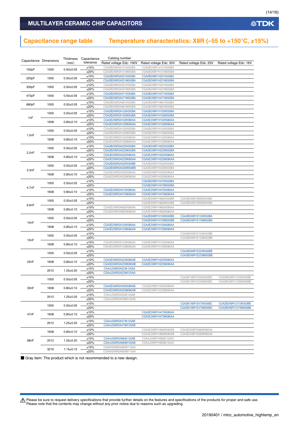### **Capacitance range table Temperature characteristics: X8R (–55 to +150°C, ±15%)**

|       | Capacitance Dimensions | (mm)            | Thickness Capacitance | Catalog number          |                        |                        |                        |  |  |
|-------|------------------------|-----------------|-----------------------|-------------------------|------------------------|------------------------|------------------------|--|--|
|       |                        |                 | tolerance             | Rated voltage Edc: 100V | Rated voltage Edc: 50V | Rated voltage Edc: 25V | Rated voltage Edc: 16V |  |  |
|       |                        |                 | ±10%                  | CGA2B2X8R2A151K050BA    | CGA2B2X8R1H151K050BA   |                        |                        |  |  |
| 150pF | 1005                   | $0.50 \pm 0.05$ | ±20%                  | CGA2B2X8R2A151M050BA    | CGA2B2X8R1H151M050BA   |                        |                        |  |  |
|       |                        |                 | ±10%                  | CGA2B2X8R2A221K050BA    | CGA2B2X8R1H221K050BA   |                        |                        |  |  |
| 220pF | 1005                   | $0.50 \pm 0.05$ | ±20%                  | CGA2B2X8R2A221M050BA    | CGA2B2X8R1H221M050BA   |                        |                        |  |  |
|       |                        |                 | ±10%                  | CGA2B2X8R2A331K050BA    | CGA2B2X8R1H331K050BA   |                        |                        |  |  |
| 330pF | 1005                   | $0.50 \pm 0.05$ |                       |                         |                        |                        |                        |  |  |
|       |                        |                 | ±20%                  | CGA2B2X8R2A331M050BA    | CGA2B2X8R1H331M050BA   |                        |                        |  |  |
| 470pF | 1005                   | $0.50 \pm 0.05$ | ±10%                  | CGA2B2X8R2A471K050BA    | CGA2B2X8R1H471K050BA   |                        |                        |  |  |
|       |                        |                 | ±20%                  | CGA2B2X8R2A471M050BA    | CGA2B2X8R1H471M050BA   |                        |                        |  |  |
| 680pF | 1005                   | $0.50 + 0.05$   | ±10%                  | CGA2B2X8R2A681K050BA    | CGA2B2X8R1H681K050BA   |                        |                        |  |  |
|       |                        |                 | ±20%                  | CGA2B2X8R2A681M050BA    | CGA2B2X8R1H681M050BA   |                        |                        |  |  |
|       | 1005                   | $0.50 + 0.05$   | ±10%                  | CGA2B2X8R2A102K050BA    | CGA2B2X8R1H102K050BA   |                        |                        |  |  |
| 1nF   |                        |                 | ±20%                  | CGA2B2X8R2A102M050BA    | CGA2B2X8R1H102M050BA   |                        |                        |  |  |
|       | 1608                   | $0.80 \pm 0.10$ | ±10%                  | CGA3E2X8R2A102K080AA    | CGA3E2X8R1H102K080AA   |                        |                        |  |  |
|       |                        |                 | ±20%                  | CGA3E2X8R2A102M080AA    | CGA3E2X8R1H102M080AA   |                        |                        |  |  |
|       |                        |                 | ±10%                  | CGA2B2X8R2A152K050BA    | CGA2B2X8R1H152K050BA   |                        |                        |  |  |
|       | 1005                   | $0.50 \pm 0.05$ | ±20%                  | CGA2B2X8R2A152M050BA    | CGA2B2X8R1H152M050BA   |                        |                        |  |  |
| 1.5nF |                        |                 | ±10%                  | CGA3E2X8R2A152K080AA    | CGA3E2X8R1H152K080AA   |                        |                        |  |  |
|       | 1608                   | $0.80 + 0.10$   | ±20%                  | CGA3E2X8R2A152M080AA    | CGA3E2X8R1H152M080AA   |                        |                        |  |  |
|       |                        |                 | ±10%                  | CGA2B2X8R2A222K050BA    | CGA2B2X8R1H222K050BA   |                        |                        |  |  |
|       | 1005                   | $0.50 \pm 0.05$ | ±20%                  | CGA2B2X8R2A222M050BA    | CGA2B2X8R1H222M050BA   |                        |                        |  |  |
| 2.2nF |                        |                 | ±10%                  | CGA3E2X8R2A222K080AA    | CGA3E2X8R1H222K080AA   |                        |                        |  |  |
|       | 1608                   | $0.80 + 0.10$   |                       |                         |                        |                        |                        |  |  |
|       |                        |                 | ±20%                  | CGA3E2X8R2A222M080AA    | CGA3E2X8R1H222M080AA   |                        |                        |  |  |
|       | 1005                   | $0.50 \pm 0.05$ | ±10%                  | CGA2B3X8R2A332K050BB    | CGA2B2X8R1H332K050BA   |                        |                        |  |  |
| 3.3nF |                        |                 | ±20%                  | CGA2B3X8R2A332M050BB    | CGA2B2X8R1H332M050BA   |                        |                        |  |  |
|       | 1608                   | $0.80 + 0.10$   | ±10%                  | CGA3E2X8R2A332K080AA    | CGA3E2X8R1H332K080AA   |                        |                        |  |  |
|       |                        |                 | ±20%                  | CGA3E2X8R2A332M080AA    | CGA3E2X8R1H332M080AA   |                        |                        |  |  |
|       | 1005                   | $0.50 \pm 0.05$ | ±10%                  |                         | CGA2B2X8R1H472K050BA   |                        |                        |  |  |
| 4.7nF |                        |                 | ±20%                  |                         | CGA2B2X8R1H472M050BA   |                        |                        |  |  |
|       |                        |                 | ±10%                  | CGA3E2X8R2A472K080AA    | CGA3E2X8R1H472K080AA   |                        |                        |  |  |
|       | 1608                   | $0.80 + 0.10$   | ±20%                  | CGA3E2X8R2A472M080AA    | CGA3E2X8R1H472M080AA   |                        |                        |  |  |
|       |                        |                 | ±10%                  |                         | CGA2B3X8R1H682K050BB   | CGA2B2X8R1E682K050BA   |                        |  |  |
| 6.8nF | 1005                   | $0.50 \pm 0.05$ | ±20%                  |                         | CGA2B3X8R1H682M050BB   | CGA2B2X8R1E682M050BA   |                        |  |  |
|       |                        |                 | ±10%                  | CGA3E2X8R2A682K080AA    | CGA3E2X8R1H682K080AA   |                        |                        |  |  |
|       | 1608                   | $0.80 \pm 0.10$ | ±20%                  | CGA3E2X8R2A682M080AA    | CGA3E2X8R1H682M080AA   |                        |                        |  |  |
|       |                        |                 | ±10%                  |                         | CGA2B3X8R1H103K050BB   | CGA2B2X8R1E103K050BA   |                        |  |  |
|       | 1005                   | $0.50 \pm 0.05$ | ±20%                  |                         |                        |                        |                        |  |  |
| 10nF  |                        |                 |                       |                         | CGA2B3X8R1H103M050BB   | CGA2B2X8R1E103M050BA   |                        |  |  |
|       | 1608                   | $0.80 + 0.10$   | ±10%                  | CGA3E2X8R2A103K080AA    | CGA3E2X8R1H103K080AA   |                        |                        |  |  |
|       |                        |                 | ±20%                  | CGA3E2X8R2A103M080AA    | CGA3E2X8R1H103M080AA   |                        |                        |  |  |
|       | 1005                   | $0.50 \pm 0.05$ | ±10%                  |                         |                        | CGA2B3X8R1E153K050BB   |                        |  |  |
| 15nF  |                        |                 | ±20%                  |                         |                        | CGA2B3X8R1E153M050BB   |                        |  |  |
|       | 1608                   | $0.80 \pm 0.10$ | ±10%                  | CGA3E2X8R2A153K080AA    | CGA3E2X8R1H153K080AA   |                        |                        |  |  |
|       |                        |                 | ±20%                  | CGA3E2X8R2A153M080AA    | CGA3E2X8R1H153M080AA   |                        |                        |  |  |
|       |                        |                 | ±10%                  |                         |                        | CGA2B3X8R1E223K050BB   |                        |  |  |
|       | 1005                   | $0.50 \pm 0.05$ | ±20%                  |                         |                        | CGA2B3X8R1E223M050BB   |                        |  |  |
|       |                        |                 | ±10%                  | CGA3E3X8R2A223K080AB    | CGA3E2X8R1H223K080AA   |                        |                        |  |  |
| 22nF  | 1608                   |                 |                       | $0.80 \pm 0.10$         | ±20%                   | CGA3E3X8R2A223M080AB   | CGA3E2X8R1H223M080AA   |  |  |
|       |                        |                 | ±10%                  | CGA4J2X8R2A223K125AA    |                        |                        |                        |  |  |
|       | 2012                   | $1.25 \pm 0.20$ | ±20%                  | CGA4J2X8R2A223M125AA    |                        |                        |                        |  |  |
|       |                        |                 | ±10%                  |                         |                        | CGA2B1X8R1E333K050BC   | CGA2B3X8R1C333K050BB   |  |  |
|       | 1005                   | $0.50 \pm 0.05$ | $+20%$                |                         |                        | CGA2B1X8R1E333M050BC   | CGA2B3X8R1C333M050BB   |  |  |
|       |                        |                 |                       |                         |                        |                        |                        |  |  |
| 33nF  | 1608                   | $0.80 + 0.10$   | ±10%                  | CGA3E3X8R2A333K080AB    | CGA3E2X8R1H333K080AA   |                        |                        |  |  |
|       |                        |                 | ±20%                  | CGA3E3X8R2A333M080AB    | CGA3E2X8R1H333M080AA   |                        |                        |  |  |
|       | 2012                   | $1.25 \pm 0.20$ | ±10%                  | CGA4J3X8R2A333K125AB    |                        |                        |                        |  |  |
|       |                        |                 | ±20%                  | CGA4J3X8R2A333M125AB    |                        |                        |                        |  |  |
| 47nF  | 1005                   | $0.50 \pm 0.05$ | ±10%                  |                         |                        | CGA2B1X8R1E473K050BC   | CGA2B3X8R1C473K050BB   |  |  |
|       |                        |                 | ±20%                  |                         |                        | CGA2B1X8R1E473M050BC   | CGA2B3X8R1C473M050BB   |  |  |
|       | 1608                   | $0.80 + 0.10$   | ±10%                  |                         | CGA3E2X8R1H473K080AA   |                        |                        |  |  |
|       |                        |                 | ±20%                  |                         | CGA3E2X8R1H473M080AA   |                        |                        |  |  |
|       |                        |                 | ±10%                  | CGA4J3X8R2A473K125AB    |                        |                        |                        |  |  |
|       | 2012                   | $1.25 \pm 0.20$ | ±20%                  | CGA4J3X8R2A473M125AB    |                        |                        |                        |  |  |
|       |                        |                 | ±10%                  |                         | CGA3E3X8R1H683K080AB   | CGA3E2X8R1E683K080AA   |                        |  |  |
|       | 1608                   | $0.80 + 0.10$   | ±20%                  |                         | CGA3E3X8R1H683M080AB   | CGA3E2X8R1E683M080AA   |                        |  |  |
|       |                        |                 | ±10%                  | CGA4J3X8R2A683K125AB    | CGA4J2X8R1H683K125AA   |                        |                        |  |  |
| 68nF  | 2012                   | $1.25 \pm 0.20$ |                       |                         |                        |                        |                        |  |  |
|       |                        |                 | ±20%                  | CGA4J3X8R2A683M125AB    | CGA4J2X8R1H683M125AA   |                        |                        |  |  |
|       | 3216                   | $1.15 \pm 0.15$ | ±10%                  | CGA5H2X8R2A683K115AA    |                        |                        |                        |  |  |
|       |                        |                 | ±20%                  | CGA5H2X8R2A683M115AA    |                        |                        |                        |  |  |

■ Gray item: The product which is not recommended to a new design.

Please be sure to request delivery specifications that provide further details on the features and specifications of the products for proper and safe use.<br>Please note that the contents may change without any prior notice d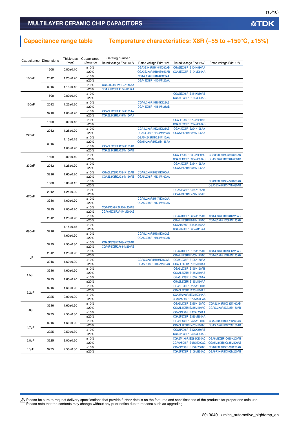### **Capacitance range table Temperature characteristics: X8R (–55 to +150°C, ±15%)**

|                        |      | Catalog number<br>Thickness Capacitance |                 |                                              |                                              |                                              |                        |                      |                      |
|------------------------|------|-----------------------------------------|-----------------|----------------------------------------------|----------------------------------------------|----------------------------------------------|------------------------|----------------------|----------------------|
| Capacitance Dimensions |      | (mm)                                    | tolerance       | Rated voltage Edc: 100V                      | Rated voltage Edc: 50V                       | Rated voltage Edc: 25V                       | Rated voltage Edc: 16V |                      |                      |
|                        |      | 1608                                    |                 | $0.80 + 0.10$                                | ±10%                                         |                                              | CGA3E3X8R1H104K080AB   | CGA3E2X8R1E104K080AA |                      |
|                        |      |                                         |                 |                                              | ±20%                                         |                                              | CGA3E3X8R1H104M080AB   | CGA3E2X8R1E104M080AA |                      |
| 100 <sub>n</sub> F     | 2012 | $1.25 \pm 0.20$                         | ±10%            |                                              | CGA4J2X8R1H104K125AA                         |                                              |                        |                      |                      |
|                        |      |                                         | ±20%            |                                              | CGA4J2X8R1H104M125AA                         |                                              |                        |                      |                      |
|                        | 3216 | $1.15 \pm 0.15$                         | ±10%            | CGA5H2X8R2A104K115AA                         |                                              |                                              |                        |                      |                      |
|                        |      |                                         | ±20%            | CGA5H2X8R2A104M115AA                         |                                              |                                              |                        |                      |                      |
|                        | 1608 | $0.80 + 0.10$                           | ±10%            |                                              |                                              | CGA3E3X8R1E154K080AB                         |                        |                      |                      |
|                        |      |                                         | ±20%            |                                              |                                              | CGA3E3X8R1E154M080AB                         |                        |                      |                      |
| 150 <sub>n</sub> F     | 2012 | $1.25 \pm 0.20$                         | ±10%<br>±20%    |                                              | CGA4J3X8R1H154K125AB<br>CGA4J3X8R1H154M125AB |                                              |                        |                      |                      |
|                        |      |                                         | ±10%            | CGA5L2X8R2A154K160AA                         |                                              |                                              |                        |                      |                      |
|                        | 3216 | $1.60 \pm 0.20$                         | ±20%            | CGA5L2X8R2A154M160AA                         |                                              |                                              |                        |                      |                      |
|                        |      |                                         | ±10%            |                                              |                                              | CGA3E3X8R1E224K080AB                         |                        |                      |                      |
|                        | 1608 | $0.80 \pm 0.15$                         | ±20%            |                                              |                                              | CGA3E3X8R1E224M080AB                         |                        |                      |                      |
|                        |      |                                         | ±10%            |                                              | CGA4J3X8R1H224K125AB                         | CGA4J2X8R1E224K125AA                         |                        |                      |                      |
|                        | 2012 | $1.25 \pm 0.20$                         | ±20%            |                                              | CGA4J3X8R1H224M125AB                         | CGA4J2X8R1E224M125AA                         |                        |                      |                      |
| 220nF                  |      |                                         | ±10%            |                                              | CGA5H2X8R1H224K115AA                         |                                              |                        |                      |                      |
|                        | 3216 | $1.15 \pm 0.15$                         | ±20%            |                                              | CGA5H2X8R1H224M115AA                         |                                              |                        |                      |                      |
|                        |      | $1.60 \pm 0.20$                         | ±10%            | CGA5L3X8R2A224K160AB                         |                                              |                                              |                        |                      |                      |
|                        |      |                                         | ±20%            | CGA5L3X8R2A224M160AB                         |                                              |                                              |                        |                      |                      |
|                        | 1608 | $0.80 + 0.10$                           | ±10%            |                                              |                                              | CGA3E1X8R1E334K080AC                         | CGA3E3X8R1C334K080AB   |                      |                      |
|                        |      |                                         | ±20%            |                                              |                                              | CGA3E1X8R1E334M080AC                         | CGA3E3X8R1C334M080AB   |                      |                      |
| 330nF                  | 2012 | $1.25 \pm 0.20$                         | ±10%            |                                              |                                              | CGA4J2X8R1E334K125AA                         |                        |                      |                      |
|                        |      |                                         | ±20%            |                                              |                                              | CGA4J2X8R1E334M125AA                         |                        |                      |                      |
|                        | 3216 | $1.60 \pm 0.20$                         | ±10%<br>±20%    | CGA5L3X8R2A334K160AB<br>CGA5L3X8R2A334M160AB | CGA5L2X8R1H334K160AA<br>CGA5L2X8R1H334M160AA |                                              |                        |                      |                      |
|                        | 1608 |                                         |                 |                                              | ±10%                                         |                                              |                        |                      | CGA3E3X8R1C474K080AB |
|                        |      | $0.80 \pm 0.15$                         | ±20%            |                                              |                                              |                                              | CGA3E3X8R1C474M080AB   |                      |                      |
|                        |      |                                         | ±10%            |                                              |                                              | CGA4J3X8R1E474K125AB                         |                        |                      |                      |
|                        | 2012 | $1.25 \pm 0.20$                         | ±20%            |                                              |                                              | CGA4J3X8R1E474M125AB                         |                        |                      |                      |
| 470nF                  |      |                                         | ±10%            |                                              | CGA5L2X8R1H474K160AA                         |                                              |                        |                      |                      |
|                        | 3216 | $1.60 + 0.20$                           | ±20%            |                                              | CGA5L2X8R1H474M160AA                         |                                              |                        |                      |                      |
|                        |      | 3225<br>$2.00 \pm 0.20$                 | ±10%            | CGA6M3X8R2A474K200AB                         |                                              |                                              |                        |                      |                      |
|                        |      |                                         | ±20%            | CGA6M3X8R2A474M200AB                         |                                              |                                              |                        |                      |                      |
|                        | 2012 |                                         | $1.25 \pm 0.20$ | ±10%                                         |                                              |                                              | CGA4J1X8R1E684K125AC   | CGA4J3X8R1C684K125AB |                      |
|                        |      |                                         |                 | ±20%                                         |                                              |                                              | CGA4J1X8R1E684M125AC   | CGA4J3X8R1C684M125AB |                      |
|                        | 3216 |                                         | $1.15 \pm 0.15$ | ±10%                                         |                                              |                                              | CGA5H2X8R1E684K115AA   |                      |                      |
| 680nF                  |      |                                         | ±20%            |                                              |                                              | CGA5H2X8R1E684M115AA                         |                        |                      |                      |
|                        |      | $1.60 \pm 0.20$                         | ±10%            |                                              | CGA5L3X8R1H684K160AB                         |                                              |                        |                      |                      |
|                        |      |                                         | ±20%<br>±10%    | CGA6P3X8R2A684K250AB                         | CGA5L3X8R1H684M160AB                         |                                              |                        |                      |                      |
|                        | 3225 | $2.50 \pm 0.30$                         | ±20%            | CGA6P3X8R2A684M250AB                         |                                              |                                              |                        |                      |                      |
|                        |      |                                         | ±10%            |                                              |                                              | CGA4J1X8R1E105K125AC                         | CGA4J3X8R1C105K125AB   |                      |                      |
|                        | 2012 | $1.25 \pm 0.20$                         | ±20%            |                                              |                                              | CGA4J1X8R1E105M125AC                         | CGA4J3X8R1C105M125AB   |                      |                      |
| 1µF                    |      |                                         | ±10%            |                                              | CGA5L3X8R1H105K160AB                         | CGA5L2X8R1E105K160AA                         |                        |                      |                      |
|                        | 3216 | $1.60 \pm 0.20$                         | ±20%            |                                              | CGA5L3X8R1H105M160AB                         | CGA5L2X8R1E105M160AA                         |                        |                      |                      |
|                        |      |                                         | ±10%            |                                              |                                              | CGA5L3X8R1E155K160AB                         |                        |                      |                      |
| $1.5 \mu F$            | 3216 | $1.60 \pm 0.20$                         | ±20%            |                                              |                                              | CGA5L3X8R1E155M160AB                         |                        |                      |                      |
|                        | 3225 | $1.60 \pm 0.20$                         | ±10%            |                                              |                                              | CGA6L2X8R1E155K160AA                         |                        |                      |                      |
|                        |      |                                         | ±20%            |                                              |                                              | CGA6L2X8R1E155M160AA                         |                        |                      |                      |
|                        | 3216 | $1.60 + 0.20$                           | ±10%            |                                              |                                              | CGA5L3X8R1E225K160AB                         |                        |                      |                      |
| $2.2 \mu F$            |      |                                         | ±20%            |                                              |                                              | CGA5L3X8R1E225M160AB                         |                        |                      |                      |
|                        | 3225 | $2.00 \pm 0.20$                         | ±10%            |                                              |                                              | CGA6M2X8R1E225K200AA                         |                        |                      |                      |
|                        |      |                                         | ±20%            |                                              |                                              | CGA6M2X8R1E225M200AA                         |                        |                      |                      |
|                        | 3216 | $1.60 \pm 0.20$                         | ±10%            |                                              |                                              | CGA5L1X8R1E335K160AC                         | CGA5L3X8R1C335K160AB   |                      |                      |
| $3.3 \mu F$            |      | 3225<br>$2.50 \pm 0.30$                 | ±20%            |                                              |                                              | CGA5L1X8R1E335M160AC                         | CGA5L3X8R1C335M160AB   |                      |                      |
|                        |      |                                         | ±10%<br>±20%    |                                              |                                              | CGA6P2X8R1E335K250AA<br>CGA6P2X8R1E335M250AA |                        |                      |                      |
|                        |      |                                         | ±10%            |                                              |                                              | CGA5L1X8R1E475K160AC                         | CGA5L3X8R1C475K160AB   |                      |                      |
|                        | 3216 | $1.60 + 0.20$                           | ±20%            |                                              |                                              | CGA5L1X8R1E475M160AC                         | CGA5L3X8R1C475M160AB   |                      |                      |
| $4.7 \mu F$            |      |                                         | ±10%            |                                              |                                              | CGA6P3X8R1E475K250AB                         |                        |                      |                      |
|                        | 3225 | $2.50 \pm 0.30$                         | ±20%            |                                              |                                              | CGA6P3X8R1E475M250AB                         |                        |                      |                      |
|                        |      |                                         | ±10%            |                                              |                                              | CGA6M1X8R1E685K200AC                         | CGA6M3X8R1C685K200AB   |                      |                      |
| $6.8\mu F$             | 3225 | $2.00 \pm 0.20$                         | ±20%            |                                              |                                              | CGA6M1X8R1E685M200AC                         | CGA6M3X8R1C685M200AB   |                      |                      |
| $10\mu F$              | 3225 | $2.50 \pm 0.30$                         | ±10%            |                                              |                                              | CGA6P1X8R1E106K250AC                         | CGA6P3X8R1C106K250AB   |                      |                      |
|                        |      |                                         | ±20%            |                                              |                                              | CGA6P1X8R1E106M250AC                         | CGA6P3X8R1C106M250AB   |                      |                      |

Please be sure to request delivery specifications that provide further details on the features and specifications of the products for proper and safe use.<br>Please note that the contents may change without any prior notice d